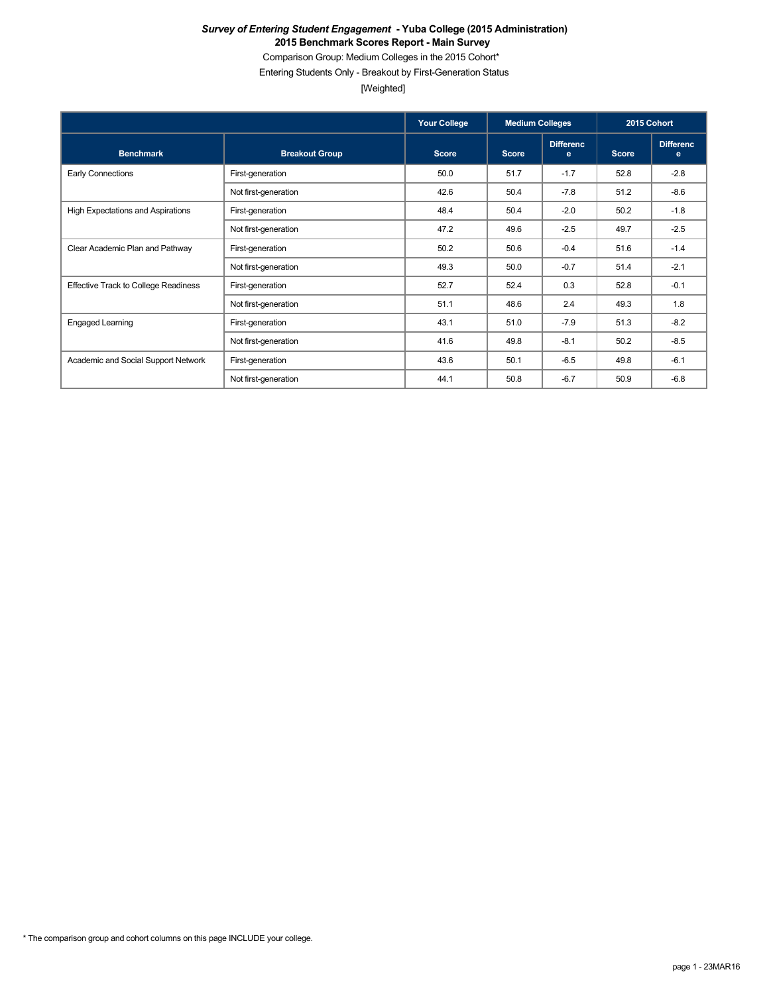Comparison Group: Medium Colleges in the 2015 Cohort\*

Entering Students Only - Breakout by First-Generation Status

[Weighted]

|                                             |                       | <b>Your College</b> | <b>Medium Colleges</b> |                       | 2015 Cohort  |                       |
|---------------------------------------------|-----------------------|---------------------|------------------------|-----------------------|--------------|-----------------------|
| <b>Benchmark</b>                            | <b>Breakout Group</b> | <b>Score</b>        | <b>Score</b>           | <b>Differenc</b><br>e | <b>Score</b> | <b>Differenc</b><br>e |
| Early Connections                           | First-generation      | 50.0                | 51.7                   | $-1.7$                | 52.8         | $-2.8$                |
|                                             | Not first-generation  | 42.6                | 50.4                   | $-7.8$                | 51.2         | $-8.6$                |
| High Expectations and Aspirations           | First-generation      | 48.4                | 50.4                   | $-2.0$                | 50.2         | $-1.8$                |
|                                             | Not first-generation  | 47.2                | 49.6                   | $-2.5$                | 49.7         | $-2.5$                |
| Clear Academic Plan and Pathway             | First-generation      | 50.2                | 50.6                   | $-0.4$                | 51.6         | $-1.4$                |
|                                             | Not first-generation  | 49.3                | 50.0                   | $-0.7$                | 51.4         | $-2.1$                |
| <b>Effective Track to College Readiness</b> | First-generation      | 52.7                | 52.4                   | 0.3                   | 52.8         | $-0.1$                |
|                                             | Not first-generation  | 51.1                | 48.6                   | 2.4                   | 49.3         | 1.8                   |
| <b>Engaged Learning</b>                     | First-generation      | 43.1                | 51.0                   | $-7.9$                | 51.3         | $-8.2$                |
|                                             | Not first-generation  | 41.6                | 49.8                   | $-8.1$                | 50.2         | $-8.5$                |
| Academic and Social Support Network         | First-generation      | 43.6                | 50.1                   | $-6.5$                | 49.8         | $-6.1$                |
|                                             | Not first-generation  | 44.1                | 50.8                   | $-6.7$                | 50.9         | $-6.8$                |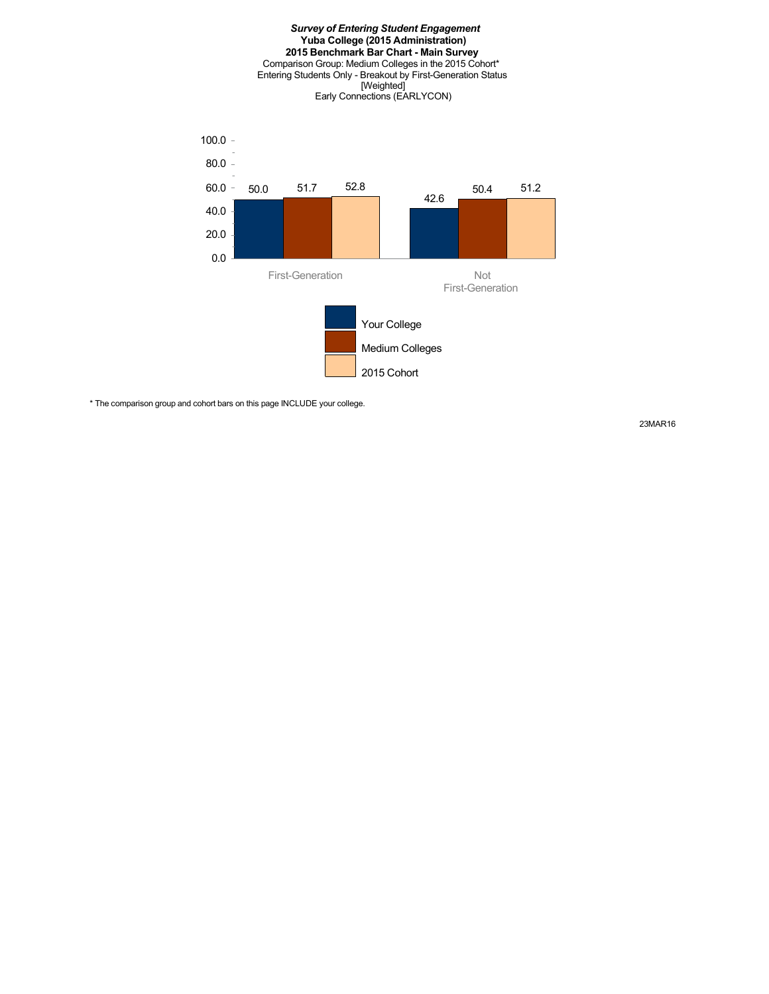

\* The comparison group and cohort bars on this page INCLUDE your college.

23MAR16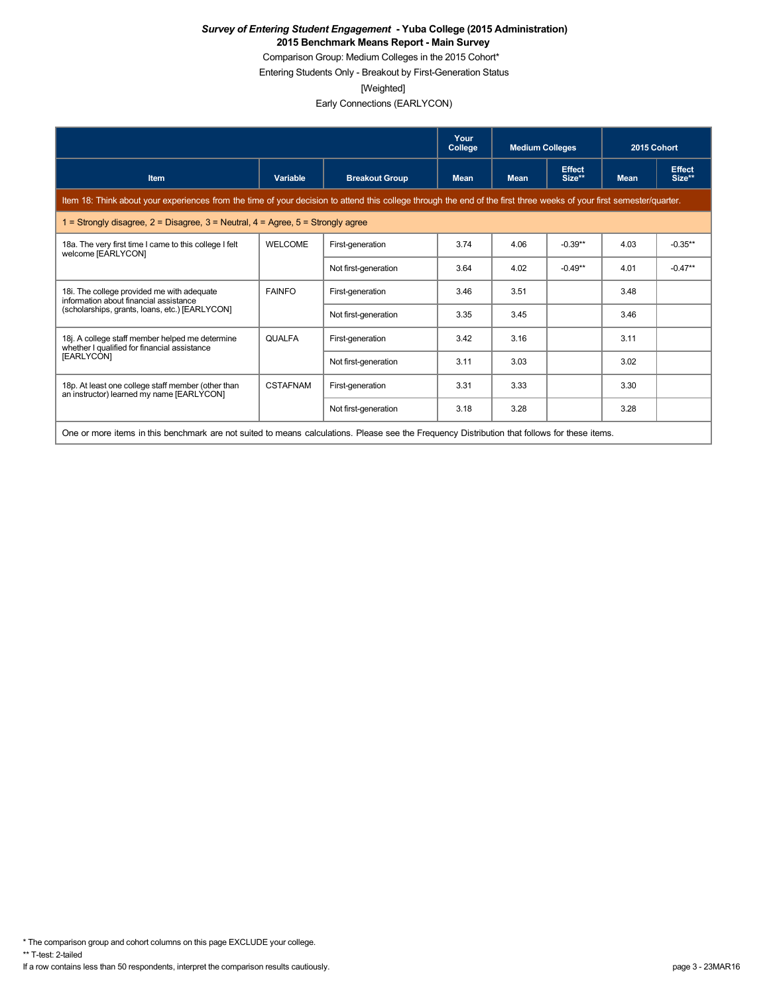Comparison Group: Medium Colleges in the 2015 Cohort\*

Entering Students Only - Breakout by First-Generation Status

[Weighted]

Early Connections (EARLYCON)

|                                                                                                                                                                      |                 |                       | Your<br>College | <b>Medium Colleges</b> |                         | 2015 Cohort |                         |
|----------------------------------------------------------------------------------------------------------------------------------------------------------------------|-----------------|-----------------------|-----------------|------------------------|-------------------------|-------------|-------------------------|
| <b>Item</b>                                                                                                                                                          | Variable        | <b>Breakout Group</b> | <b>Mean</b>     | <b>Mean</b>            | <b>Effect</b><br>Size** | <b>Mean</b> | <b>Effect</b><br>Size** |
| Item 18: Think about your experiences from the time of your decision to attend this college through the end of the first three weeks of your first semester/quarter. |                 |                       |                 |                        |                         |             |                         |
| 1 = Strongly disagree, $2$ = Disagree, $3$ = Neutral, $4$ = Agree, $5$ = Strongly agree                                                                              |                 |                       |                 |                        |                         |             |                         |
| 18a. The very first time I came to this college I felt<br>welcome [EARLYCON]                                                                                         | <b>WELCOME</b>  | First-generation      | 3.74            | 4.06                   | $-0.39**$               | 4.03        | $-0.35**$               |
|                                                                                                                                                                      |                 | Not first-generation  | 3.64            | 4.02                   | $-0.49**$               | 4.01        | $-0.47**$               |
| 18i. The college provided me with adequate<br>information about financial assistance                                                                                 | <b>FAINFO</b>   | First-generation      | 3.46            | 3.51                   |                         | 3.48        |                         |
| (scholarships, grants, loans, etc.) [EARLYCON]                                                                                                                       |                 | Not first-generation  | 3.35            | 3.45                   |                         | 3.46        |                         |
| 18j. A college staff member helped me determine<br>whether I qualified for financial assistance                                                                      | <b>QUALFA</b>   | First-generation      | 3.42            | 3.16                   |                         | 3.11        |                         |
| [EARLYCON]                                                                                                                                                           |                 | Not first-generation  | 3.11            | 3.03                   |                         | 3.02        |                         |
| 18p. At least one college staff member (other than<br>an instructor) learned my name [EARLYCON]                                                                      | <b>CSTAFNAM</b> | First-generation      | 3.31            | 3.33                   |                         | 3.30        |                         |
|                                                                                                                                                                      |                 | Not first-generation  | 3.18            | 3.28                   |                         | 3.28        |                         |
| One or more items in this benchmark are not suited to means calculations. Please see the Frequency Distribution that follows for these items.                        |                 |                       |                 |                        |                         |             |                         |

\* The comparison group and cohort columns on this page EXCLUDE your college.

\*\* T-test: 2-tailed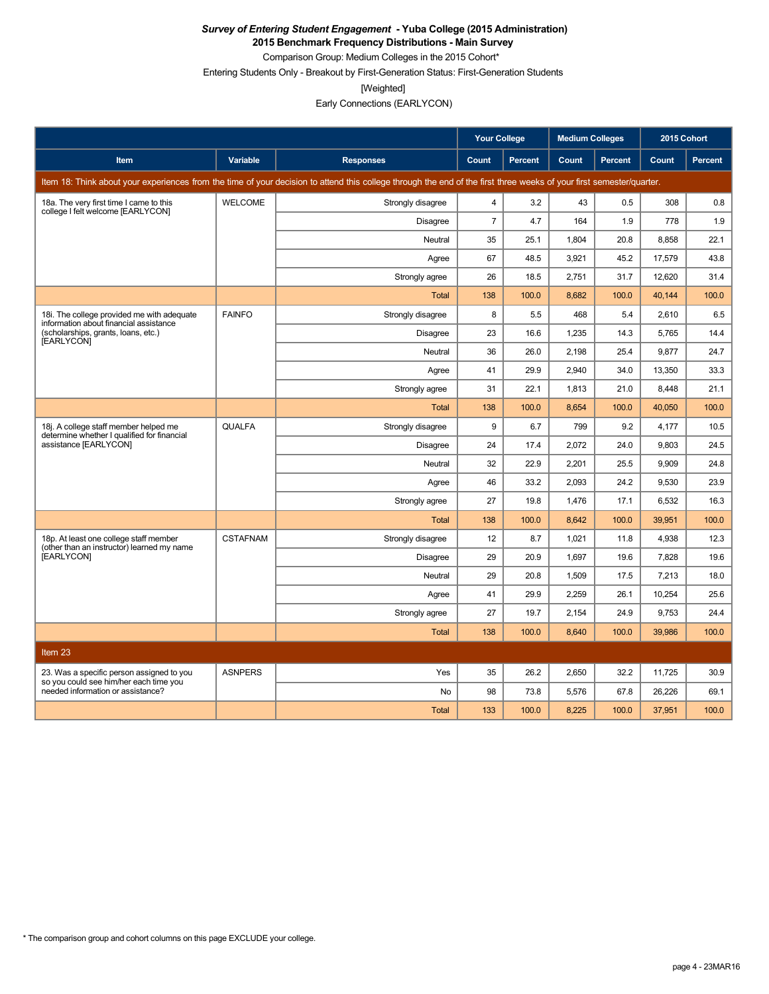**2015 Benchmark Frequency Distributions - Main Survey**

Comparison Group: Medium Colleges in the 2015 Cohort\* Entering Students Only - Breakout by First-Generation Status: First-Generation Students

[Weighted]

Early Connections (EARLYCON)

|                                                                                      |                 |                                                                                                                                                                      | <b>Your College</b> |                | <b>Medium Colleges</b> |         | 2015 Cohort |         |
|--------------------------------------------------------------------------------------|-----------------|----------------------------------------------------------------------------------------------------------------------------------------------------------------------|---------------------|----------------|------------------------|---------|-------------|---------|
| Item                                                                                 | Variable        | <b>Responses</b>                                                                                                                                                     | Count               | <b>Percent</b> | Count                  | Percent | Count       | Percent |
|                                                                                      |                 | Item 18: Think about your experiences from the time of your decision to attend this college through the end of the first three weeks of your first semester/quarter. |                     |                |                        |         |             |         |
| 18a. The very first time I came to this                                              | <b>WELCOME</b>  | Strongly disagree                                                                                                                                                    | 4                   | 3.2            | 43                     | 0.5     | 308         | 0.8     |
| college I felt welcome [EARLYCON]                                                    |                 | <b>Disagree</b>                                                                                                                                                      | $\overline{7}$      | 4.7            | 164                    | 1.9     | 778         | 1.9     |
|                                                                                      |                 | Neutral                                                                                                                                                              | 35                  | 25.1           | 1,804                  | 20.8    | 8,858       | 22.1    |
|                                                                                      |                 | Agree                                                                                                                                                                | 67                  | 48.5           | 3,921                  | 45.2    | 17,579      | 43.8    |
|                                                                                      |                 | Strongly agree                                                                                                                                                       | 26                  | 18.5           | 2,751                  | 31.7    | 12,620      | 31.4    |
|                                                                                      |                 | <b>Total</b>                                                                                                                                                         | 138                 | 100.0          | 8.682                  | 100.0   | 40.144      | 100.0   |
| 18i. The college provided me with adequate<br>information about financial assistance | <b>FAINFO</b>   | Strongly disagree                                                                                                                                                    | 8                   | 5.5            | 468                    | 5.4     | 2,610       | 6.5     |
| (scholarships, grants, loans, etc.)<br>[EARLYCON]                                    |                 | Disagree                                                                                                                                                             | 23                  | 16.6           | 1,235                  | 14.3    | 5,765       | 14.4    |
|                                                                                      |                 | Neutral                                                                                                                                                              | 36                  | 26.0           | 2.198                  | 25.4    | 9,877       | 24.7    |
|                                                                                      |                 | Agree                                                                                                                                                                | 41                  | 29.9           | 2,940                  | 34.0    | 13,350      | 33.3    |
|                                                                                      |                 | Strongly agree                                                                                                                                                       | 31                  | 22.1           | 1.813                  | 21.0    | 8.448       | 21.1    |
|                                                                                      |                 | <b>Total</b>                                                                                                                                                         | 138                 | 100.0          | 8,654                  | 100.0   | 40,050      | 100.0   |
| 18j. A college staff member helped me<br>determine whether I qualified for financial | <b>QUALFA</b>   | Strongly disagree                                                                                                                                                    | 9                   | 6.7            | 799                    | 9.2     | 4.177       | 10.5    |
| assistance [EARLYCON]                                                                |                 | <b>Disagree</b>                                                                                                                                                      | 24                  | 17.4           | 2.072                  | 24.0    | 9.803       | 24.5    |
|                                                                                      |                 | Neutral                                                                                                                                                              | 32                  | 22.9           | 2,201                  | 25.5    | 9,909       | 24.8    |
|                                                                                      |                 | Agree                                                                                                                                                                | 46                  | 33.2           | 2.093                  | 24.2    | 9,530       | 23.9    |
|                                                                                      |                 | Strongly agree                                                                                                                                                       | 27                  | 19.8           | 1,476                  | 17.1    | 6,532       | 16.3    |
|                                                                                      |                 | <b>Total</b>                                                                                                                                                         | 138                 | 100.0          | 8.642                  | 100.0   | 39.951      | 100.0   |
| 18p. At least one college staff member<br>(other than an instructor) learned my name | <b>CSTAFNAM</b> | Strongly disagree                                                                                                                                                    | 12                  | 8.7            | 1,021                  | 11.8    | 4,938       | 12.3    |
| [EARLYCON]                                                                           |                 | <b>Disagree</b>                                                                                                                                                      | 29                  | 20.9           | 1,697                  | 19.6    | 7,828       | 19.6    |
|                                                                                      |                 | Neutral                                                                                                                                                              | 29                  | 20.8           | 1,509                  | 17.5    | 7,213       | 18.0    |
|                                                                                      |                 | Agree                                                                                                                                                                | 41                  | 29.9           | 2,259                  | 26.1    | 10.254      | 25.6    |
|                                                                                      |                 | Strongly agree                                                                                                                                                       | 27                  | 19.7           | 2.154                  | 24.9    | 9,753       | 24.4    |
|                                                                                      |                 | <b>Total</b>                                                                                                                                                         | 138                 | 100.0          | 8,640                  | 100.0   | 39,986      | 100.0   |
| Item 23                                                                              |                 |                                                                                                                                                                      |                     |                |                        |         |             |         |
| 23. Was a specific person assigned to you                                            | <b>ASNPERS</b>  | Yes                                                                                                                                                                  | 35                  | 26.2           | 2,650                  | 32.2    | 11,725      | 30.9    |
| so you could see him/her each time you<br>needed information or assistance?          |                 | No                                                                                                                                                                   | 98                  | 73.8           | 5,576                  | 67.8    | 26,226      | 69.1    |
|                                                                                      |                 | <b>Total</b>                                                                                                                                                         | 133                 | 100.0          | 8,225                  | 100.0   | 37,951      | 100.0   |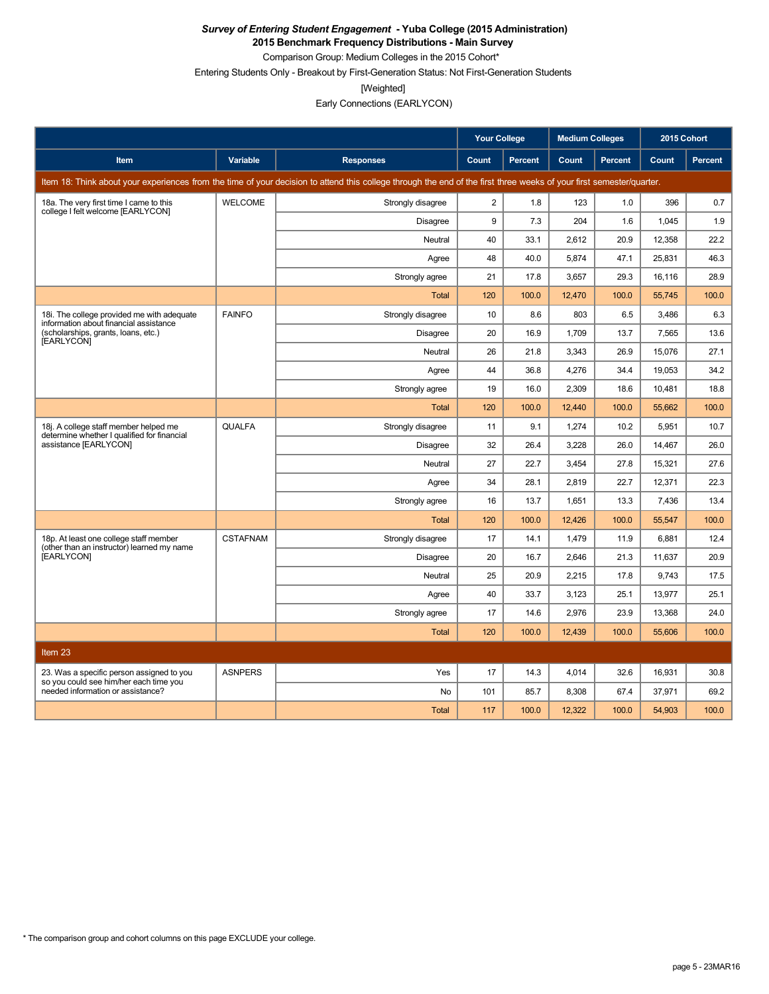**2015 Benchmark Frequency Distributions - Main Survey** Comparison Group: Medium Colleges in the 2015 Cohort\*

Entering Students Only - Breakout by First-Generation Status: Not First-Generation Students

[Weighted]

Early Connections (EARLYCON)

|                                                                                      |                 |                                                                                                                                                                      | <b>Your College</b> |                | <b>Medium Colleges</b> |                | 2015 Cohort |         |
|--------------------------------------------------------------------------------------|-----------------|----------------------------------------------------------------------------------------------------------------------------------------------------------------------|---------------------|----------------|------------------------|----------------|-------------|---------|
| <b>Item</b>                                                                          | Variable        | <b>Responses</b>                                                                                                                                                     | Count               | <b>Percent</b> | Count                  | <b>Percent</b> | Count       | Percent |
|                                                                                      |                 | Item 18: Think about your experiences from the time of your decision to attend this college through the end of the first three weeks of your first semester/quarter. |                     |                |                        |                |             |         |
| 18a. The very first time I came to this                                              | <b>WELCOME</b>  | Strongly disagree                                                                                                                                                    | $\overline{c}$      | 1.8            | 123                    | 1.0            | 396         | 0.7     |
| college I felt welcome [EARLYCON]                                                    |                 | Disagree                                                                                                                                                             | 9                   | 7.3            | 204                    | 1.6            | 1.045       | 1.9     |
|                                                                                      |                 | Neutral                                                                                                                                                              | 40                  | 33.1           | 2,612                  | 20.9           | 12,358      | 22.2    |
|                                                                                      |                 | Agree                                                                                                                                                                | 48                  | 40.0           | 5.874                  | 47.1           | 25,831      | 46.3    |
|                                                                                      |                 | Strongly agree                                                                                                                                                       | 21                  | 17.8           | 3,657                  | 29.3           | 16,116      | 28.9    |
|                                                                                      |                 | <b>Total</b>                                                                                                                                                         | 120                 | 100.0          | 12,470                 | 100.0          | 55,745      | 100.0   |
| 18i. The college provided me with adequate<br>information about financial assistance | <b>FAINFO</b>   | Strongly disagree                                                                                                                                                    | 10                  | 8.6            | 803                    | 6.5            | 3,486       | 6.3     |
| (scholarships, grants, loans, etc.)<br>[EARLYCON]                                    |                 | <b>Disagree</b>                                                                                                                                                      | 20                  | 16.9           | 1,709                  | 13.7           | 7,565       | 13.6    |
|                                                                                      |                 | Neutral                                                                                                                                                              | 26                  | 21.8           | 3,343                  | 26.9           | 15,076      | 27.1    |
|                                                                                      |                 | Agree                                                                                                                                                                | 44                  | 36.8           | 4,276                  | 34.4           | 19,053      | 34.2    |
|                                                                                      |                 | Strongly agree                                                                                                                                                       | 19                  | 16.0           | 2.309                  | 18.6           | 10.481      | 18.8    |
|                                                                                      |                 | <b>Total</b>                                                                                                                                                         | 120                 | 100.0          | 12,440                 | 100.0          | 55,662      | 100.0   |
| 18j. A college staff member helped me<br>determine whether I qualified for financial | <b>QUALFA</b>   | Strongly disagree                                                                                                                                                    | 11                  | 9.1            | 1,274                  | 10.2           | 5,951       | 10.7    |
| assistance [EARLYCON]                                                                |                 | <b>Disagree</b>                                                                                                                                                      | 32                  | 26.4           | 3,228                  | 26.0           | 14,467      | 26.0    |
|                                                                                      |                 | Neutral                                                                                                                                                              | 27                  | 22.7           | 3,454                  | 27.8           | 15,321      | 27.6    |
|                                                                                      |                 | Agree                                                                                                                                                                | 34                  | 28.1           | 2,819                  | 22.7           | 12,371      | 22.3    |
|                                                                                      |                 | Strongly agree                                                                                                                                                       | 16                  | 13.7           | 1,651                  | 13.3           | 7,436       | 13.4    |
|                                                                                      |                 | <b>Total</b>                                                                                                                                                         | 120                 | 100.0          | 12,426                 | 100.0          | 55,547      | 100.0   |
| 18p. At least one college staff member<br>(other than an instructor) learned my name | <b>CSTAFNAM</b> | Strongly disagree                                                                                                                                                    | 17                  | 14.1           | 1,479                  | 11.9           | 6,881       | 12.4    |
| [EARLYCON]                                                                           |                 | <b>Disagree</b>                                                                                                                                                      | 20                  | 16.7           | 2.646                  | 21.3           | 11.637      | 20.9    |
|                                                                                      |                 | Neutral                                                                                                                                                              | 25                  | 20.9           | 2,215                  | 17.8           | 9,743       | 17.5    |
|                                                                                      |                 | Agree                                                                                                                                                                | 40                  | 33.7           | 3.123                  | 25.1           | 13.977      | 25.1    |
|                                                                                      |                 | Strongly agree                                                                                                                                                       | 17                  | 14.6           | 2,976                  | 23.9           | 13,368      | 24.0    |
|                                                                                      |                 | <b>Total</b>                                                                                                                                                         | 120                 | 100.0          | 12.439                 | 100.0          | 55,606      | 100.0   |
| Item 23                                                                              |                 |                                                                                                                                                                      |                     |                |                        |                |             |         |
| 23. Was a specific person assigned to you<br>so you could see him/her each time you  | <b>ASNPERS</b>  | Yes                                                                                                                                                                  | 17                  | 14.3           | 4.014                  | 32.6           | 16,931      | 30.8    |
| needed information or assistance?                                                    |                 | <b>No</b>                                                                                                                                                            | 101                 | 85.7           | 8,308                  | 67.4           | 37,971      | 69.2    |
|                                                                                      |                 | <b>Total</b>                                                                                                                                                         | 117                 | 100.0          | 12,322                 | 100.0          | 54,903      | 100.0   |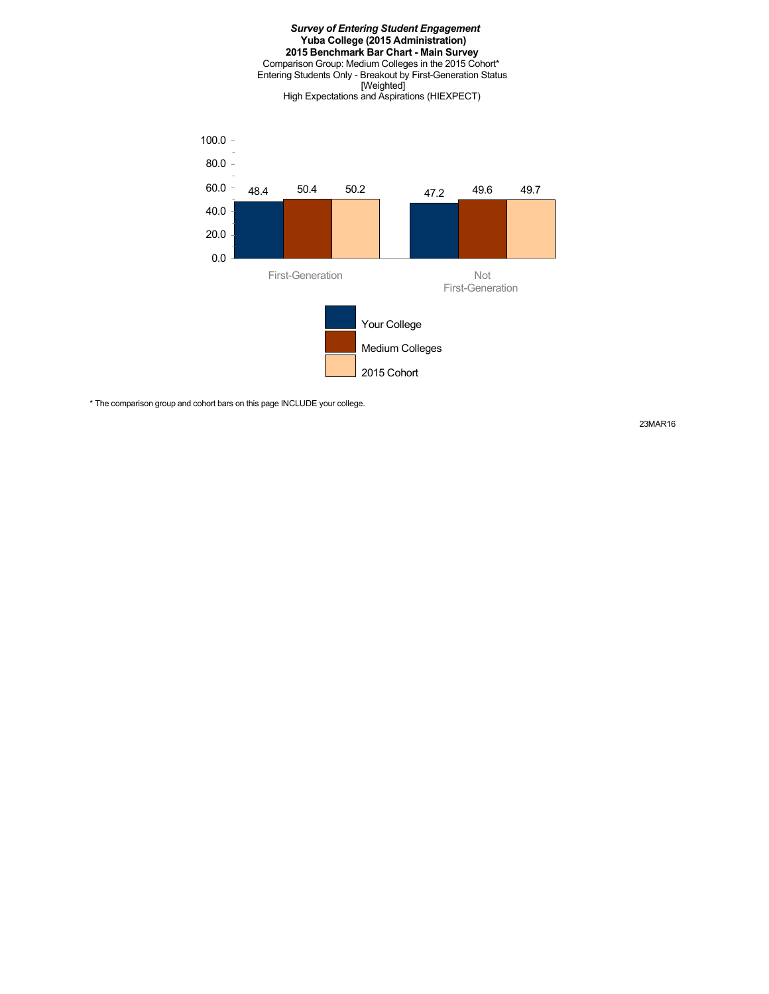#### *Survey of Entering Student Engagement* **Yuba College (2015 Administration) 2015 Benchmark Bar Chart - Main Survey** Comparison Group: Medium Colleges in the 2015 Cohort\* Entering Students Only - Breakout by First-Generation Status [Weighted] High Expectations and Aspirations (HIEXPECT)



\* The comparison group and cohort bars on this page INCLUDE your college.

23MAR16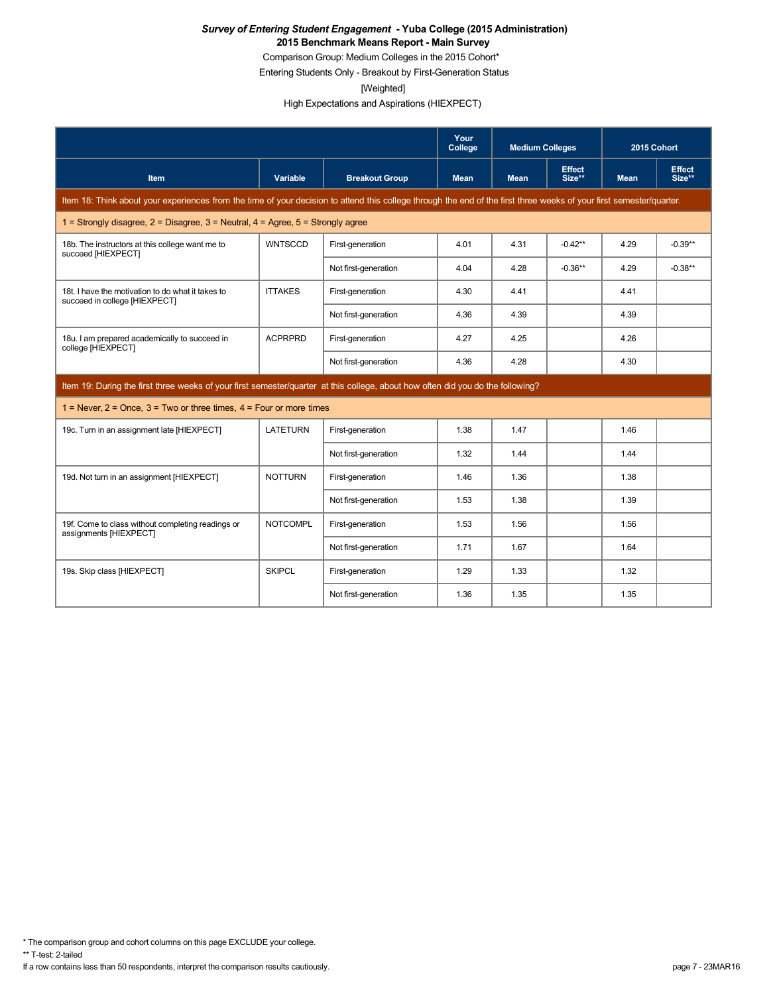Comparison Group: Medium Colleges in the 2015 Cohort\*

Entering Students Only - Breakout by First-Generation Status

[Weighted]

High Expectations and Aspirations (HIEXPECT)

|                                                                                                                                                                      |                 |                       | Your<br>College | <b>Medium Colleges</b> |                         | 2015 Cohort |                         |
|----------------------------------------------------------------------------------------------------------------------------------------------------------------------|-----------------|-----------------------|-----------------|------------------------|-------------------------|-------------|-------------------------|
| <b>Item</b>                                                                                                                                                          | Variable        | <b>Breakout Group</b> | <b>Mean</b>     | <b>Mean</b>            | <b>Effect</b><br>Size** | <b>Mean</b> | <b>Effect</b><br>Size** |
| Item 18: Think about your experiences from the time of your decision to attend this college through the end of the first three weeks of your first semester/quarter. |                 |                       |                 |                        |                         |             |                         |
| 1 = Strongly disagree, $2$ = Disagree, $3$ = Neutral, $4$ = Agree, $5$ = Strongly agree                                                                              |                 |                       |                 |                        |                         |             |                         |
| 18b. The instructors at this college want me to<br>succeed [HIEXPECT]                                                                                                | <b>WNTSCCD</b>  | First-generation      | 4.01            | 4.31                   | $-0.42**$               | 4.29        | $-0.39**$               |
|                                                                                                                                                                      |                 | Not first-generation  | 4.04            | 4.28                   | $-0.36**$               | 4.29        | $-0.38**$               |
| 18t. I have the motivation to do what it takes to<br>succeed in college [HIEXPECT]                                                                                   | <b>ITTAKES</b>  | First-generation      | 4.30            | 4.41                   |                         | 4.41        |                         |
|                                                                                                                                                                      |                 | Not first-generation  | 4.36            | 4.39                   |                         | 4.39        |                         |
| 18u. I am prepared academically to succeed in<br>college [HIEXPECT]                                                                                                  | <b>ACPRPRD</b>  | First-generation      | 4.27            | 4.25                   |                         | 4.26        |                         |
|                                                                                                                                                                      |                 | Not first-generation  | 4.36            | 4.28                   |                         | 4.30        |                         |
| Item 19: During the first three weeks of your first semester/quarter at this college, about how often did you do the following?                                      |                 |                       |                 |                        |                         |             |                         |
| 1 = Never, $2$ = Once, $3$ = Two or three times, $4$ = Four or more times                                                                                            |                 |                       |                 |                        |                         |             |                         |
| 19c. Turn in an assignment late [HIEXPECT]                                                                                                                           | <b>LATETURN</b> | First-generation      | 1.38            | 1.47                   |                         | 1.46        |                         |
|                                                                                                                                                                      |                 | Not first-generation  | 1.32            | 1.44                   |                         | 1.44        |                         |
| 19d. Not turn in an assignment [HIEXPECT]                                                                                                                            | <b>NOTTURN</b>  | First-generation      | 1.46            | 1.36                   |                         | 1.38        |                         |
|                                                                                                                                                                      |                 | Not first-generation  | 1.53            | 1.38                   |                         | 1.39        |                         |
| 19f. Come to class without completing readings or<br>assignments [HIEXPECT]                                                                                          | <b>NOTCOMPL</b> | First-generation      | 1.53            | 1.56                   |                         | 1.56        |                         |
|                                                                                                                                                                      |                 | Not first-generation  | 1.71            | 1.67                   |                         | 1.64        |                         |
| 19s. Skip class [HIEXPECT]                                                                                                                                           | <b>SKIPCL</b>   | First-generation      | 1.29            | 1.33                   |                         | 1.32        |                         |
|                                                                                                                                                                      |                 | Not first-generation  | 1.36            | 1.35                   |                         | 1.35        |                         |

\* The comparison group and cohort columns on this page EXCLUDE your college.

\*\* T-test: 2-tailed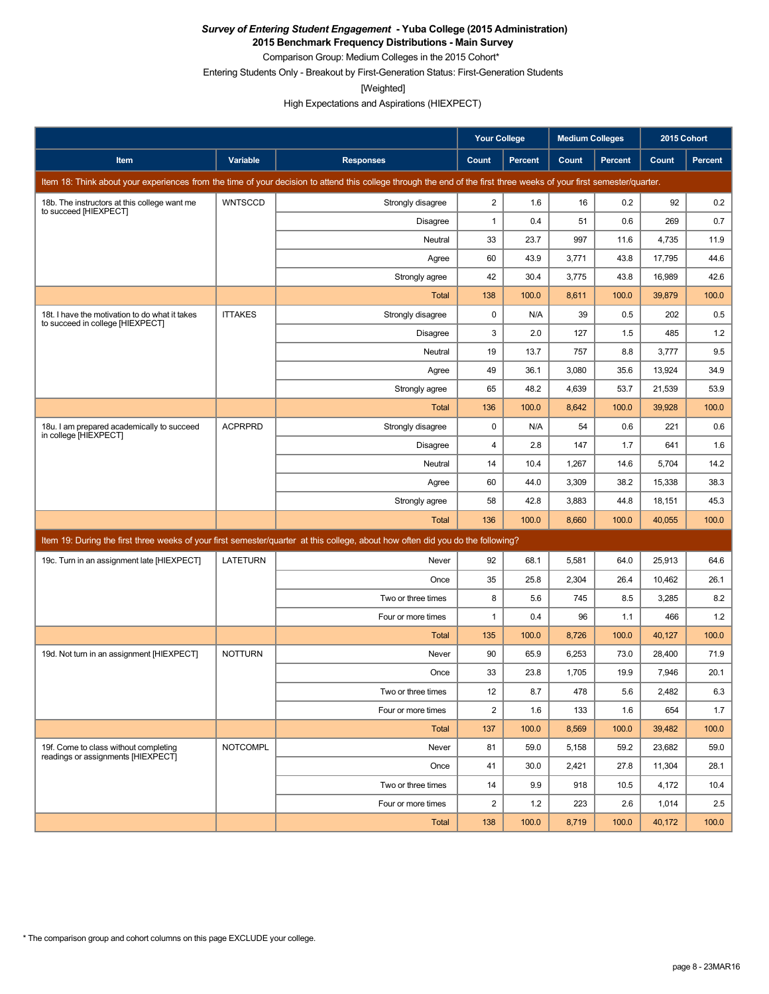**2015 Benchmark Frequency Distributions - Main Survey**

Comparison Group: Medium Colleges in the 2015 Cohort\*

Entering Students Only - Breakout by First-Generation Status: First-Generation Students

[Weighted]

High Expectations and Aspirations (HIEXPECT)

|                                                                                    |                 |                                                                                                                                                                      | <b>Your College</b> |         | <b>Medium Colleges</b> |                | 2015 Cohort |         |
|------------------------------------------------------------------------------------|-----------------|----------------------------------------------------------------------------------------------------------------------------------------------------------------------|---------------------|---------|------------------------|----------------|-------------|---------|
| Item                                                                               | Variable        | <b>Responses</b>                                                                                                                                                     | Count               | Percent | Count                  | <b>Percent</b> | Count       | Percent |
|                                                                                    |                 | Item 18: Think about your experiences from the time of your decision to attend this college through the end of the first three weeks of your first semester/quarter. |                     |         |                        |                |             |         |
| 18b. The instructors at this college want me<br>to succeed [HIEXPECT]              | <b>WNTSCCD</b>  | Strongly disagree                                                                                                                                                    | $\overline{c}$      | 1.6     | 16                     | 0.2            | 92          | 0.2     |
|                                                                                    |                 | Disagree                                                                                                                                                             | $\mathbf{1}$        | 0.4     | 51                     | 0.6            | 269         | 0.7     |
|                                                                                    |                 | Neutral                                                                                                                                                              | 33                  | 23.7    | 997                    | 11.6           | 4,735       | 11.9    |
|                                                                                    |                 | Agree                                                                                                                                                                | 60                  | 43.9    | 3,771                  | 43.8           | 17,795      | 44.6    |
|                                                                                    |                 | Strongly agree                                                                                                                                                       | 42                  | 30.4    | 3,775                  | 43.8           | 16,989      | 42.6    |
|                                                                                    |                 | Total                                                                                                                                                                | 138                 | 100.0   | 8,611                  | 100.0          | 39,879      | 100.0   |
| 18t. I have the motivation to do what it takes<br>to succeed in college [HIEXPECT] | <b>ITTAKES</b>  | Strongly disagree                                                                                                                                                    | 0                   | N/A     | 39                     | 0.5            | 202         | 0.5     |
|                                                                                    |                 | <b>Disagree</b>                                                                                                                                                      | 3                   | 2.0     | 127                    | 1.5            | 485         | 1.2     |
|                                                                                    |                 | Neutral                                                                                                                                                              | 19                  | 13.7    | 757                    | 8.8            | 3,777       | 9.5     |
|                                                                                    |                 | Agree                                                                                                                                                                | 49                  | 36.1    | 3,080                  | 35.6           | 13,924      | 34.9    |
|                                                                                    |                 | Strongly agree                                                                                                                                                       | 65                  | 48.2    | 4,639                  | 53.7           | 21,539      | 53.9    |
|                                                                                    |                 | <b>Total</b>                                                                                                                                                         | 136                 | 100.0   | 8,642                  | 100.0          | 39,928      | 100.0   |
| 18u. I am prepared academically to succeed<br>in college [HIEXPECT]                | <b>ACPRPRD</b>  | Strongly disagree                                                                                                                                                    | 0                   | N/A     | 54                     | 0.6            | 221         | 0.6     |
|                                                                                    |                 | <b>Disagree</b>                                                                                                                                                      | 4                   | 2.8     | 147                    | 1.7            | 641         | 1.6     |
|                                                                                    |                 | Neutral                                                                                                                                                              | 14                  | 10.4    | 1,267                  | 14.6           | 5,704       | 14.2    |
|                                                                                    |                 | Agree                                                                                                                                                                | 60                  | 44.0    | 3,309                  | 38.2           | 15,338      | 38.3    |
|                                                                                    |                 | Strongly agree                                                                                                                                                       | 58                  | 42.8    | 3,883                  | 44.8           | 18,151      | 45.3    |
|                                                                                    |                 | <b>Total</b>                                                                                                                                                         | 136                 | 100.0   | 8,660                  | 100.0          | 40,055      | 100.0   |
|                                                                                    |                 | Item 19: During the first three weeks of your first semester/quarter at this college, about how often did you do the following?                                      |                     |         |                        |                |             |         |
| 19c. Turn in an assignment late [HIEXPECT]                                         | <b>LATETURN</b> | Never                                                                                                                                                                | 92                  | 68.1    | 5,581                  | 64.0           | 25,913      | 64.6    |
|                                                                                    |                 | Once                                                                                                                                                                 | 35                  | 25.8    | 2,304                  | 26.4           | 10,462      | 26.1    |
|                                                                                    |                 | Two or three times                                                                                                                                                   | 8                   | 5.6     | 745                    | 8.5            | 3,285       | 8.2     |
|                                                                                    |                 | Four or more times                                                                                                                                                   | 1                   | 0.4     | 96                     | 1.1            | 466         | 1.2     |
|                                                                                    |                 | <b>Total</b>                                                                                                                                                         | 135                 | 100.0   | 8,726                  | 100.0          | 40,127      | 100.0   |
| 19d. Not turn in an assignment [HIEXPECT]                                          | <b>NOTTURN</b>  | Never                                                                                                                                                                | 90                  | 65.9    | 6,253                  | 73.0           | 28,400      | 71.9    |
|                                                                                    |                 | Once                                                                                                                                                                 | 33                  | 23.8    | 1,705                  | 19.9           | 7,946       | 20.1    |
|                                                                                    |                 | Two or three times                                                                                                                                                   | 12                  | $8.7\,$ | 478                    | $5.6\,$        | 2,482       | 6.3     |
|                                                                                    |                 | Four or more times                                                                                                                                                   | 2                   | 1.6     | 133                    | 1.6            | 654         | 1.7     |
|                                                                                    |                 | Total                                                                                                                                                                | 137                 | 100.0   | 8,569                  | 100.0          | 39,482      | 100.0   |
| 19f. Come to class without completing<br>readings or assignments [HIEXPECT]        | <b>NOTCOMPL</b> | Never                                                                                                                                                                | 81                  | 59.0    | 5,158                  | 59.2           | 23,682      | 59.0    |
|                                                                                    |                 | Once                                                                                                                                                                 | 41                  | 30.0    | 2,421                  | 27.8           | 11,304      | 28.1    |
|                                                                                    |                 | Two or three times                                                                                                                                                   | 14                  | 9.9     | 918                    | 10.5           | 4,172       | 10.4    |
|                                                                                    |                 | Four or more times                                                                                                                                                   | 2                   | $1.2$   | 223                    | 2.6            | 1,014       | 2.5     |
|                                                                                    |                 | Total                                                                                                                                                                | 138                 | 100.0   | 8,719                  | 100.0          | 40,172      | 100.0   |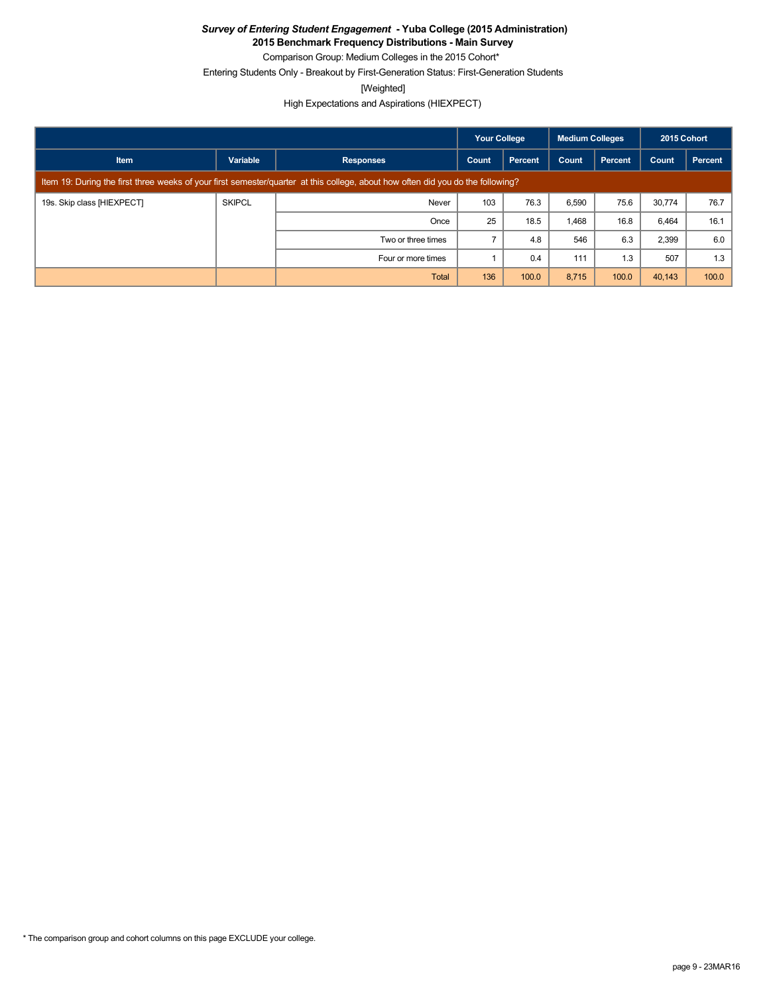**2015 Benchmark Frequency Distributions - Main Survey**

Comparison Group: Medium Colleges in the 2015 Cohort\*

Entering Students Only - Breakout by First-Generation Status: First-Generation Students

[Weighted]

High Expectations and Aspirations (HIEXPECT)

|                            |               |                                                                                                                                 | <b>Your College</b> |         | <b>Medium Colleges</b> |                | 2015 Cohort |         |
|----------------------------|---------------|---------------------------------------------------------------------------------------------------------------------------------|---------------------|---------|------------------------|----------------|-------------|---------|
| <b>Item</b>                | Variable      | <b>Responses</b>                                                                                                                | Count               | Percent | Count                  | <b>Percent</b> | Count       | Percent |
|                            |               | Item 19: During the first three weeks of your first semester/quarter at this college, about how often did you do the following? |                     |         |                        |                |             |         |
| 19s. Skip class [HIEXPECT] | <b>SKIPCL</b> | Never                                                                                                                           | 103                 | 76.3    | 6,590                  | 75.6           | 30,774      | 76.7    |
|                            |               | Once                                                                                                                            | 25                  | 18.5    | 1,468                  | 16.8           | 6,464       | 16.1    |
|                            |               | Two or three times                                                                                                              |                     | 4.8     | 546                    | 6.3            | 2,399       | 6.0     |
|                            |               | Four or more times                                                                                                              |                     | 0.4     | 111                    | 1.3            | 507         | 1.3     |
|                            |               | <b>Total</b>                                                                                                                    | 136                 | 100.0   | 8,715                  | 100.0          | 40,143      | 100.0   |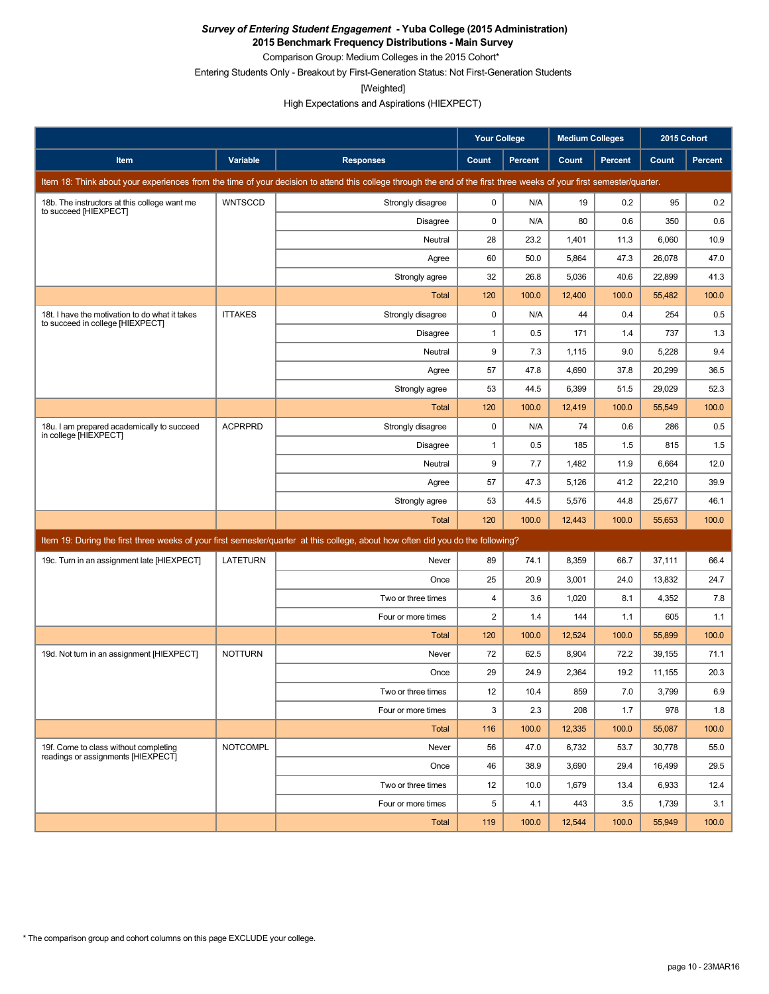**2015 Benchmark Frequency Distributions - Main Survey**

Comparison Group: Medium Colleges in the 2015 Cohort\*

Entering Students Only - Breakout by First-Generation Status: Not First-Generation Students

[Weighted]

High Expectations and Aspirations (HIEXPECT)

|                                                                                    |                 |                                                                                                                                                                      | Your College   |                | <b>Medium Colleges</b> |         | 2015 Cohort |         |
|------------------------------------------------------------------------------------|-----------------|----------------------------------------------------------------------------------------------------------------------------------------------------------------------|----------------|----------------|------------------------|---------|-------------|---------|
| <b>Item</b>                                                                        | Variable        | <b>Responses</b>                                                                                                                                                     | Count          | <b>Percent</b> | Count                  | Percent | Count       | Percent |
|                                                                                    |                 | Item 18: Think about your experiences from the time of your decision to attend this college through the end of the first three weeks of your first semester/quarter. |                |                |                        |         |             |         |
| 18b. The instructors at this college want me<br>to succeed [HIEXPECT]              | <b>WNTSCCD</b>  | Strongly disagree                                                                                                                                                    | 0              | N/A            | 19                     | 0.2     | 95          | 0.2     |
|                                                                                    |                 | Disagree                                                                                                                                                             | $\mathbf 0$    | N/A            | 80                     | 0.6     | 350         | 0.6     |
|                                                                                    |                 | Neutral                                                                                                                                                              | 28             | 23.2           | 1,401                  | 11.3    | 6,060       | 10.9    |
|                                                                                    |                 | Agree                                                                                                                                                                | 60             | 50.0           | 5,864                  | 47.3    | 26,078      | 47.0    |
|                                                                                    |                 | Strongly agree                                                                                                                                                       | 32             | 26.8           | 5,036                  | 40.6    | 22,899      | 41.3    |
|                                                                                    |                 | <b>Total</b>                                                                                                                                                         | 120            | 100.0          | 12,400                 | 100.0   | 55,482      | 100.0   |
| 18t. I have the motivation to do what it takes<br>to succeed in college [HIEXPECT] | <b>ITTAKES</b>  | Strongly disagree                                                                                                                                                    | 0              | N/A            | 44                     | 0.4     | 254         | 0.5     |
|                                                                                    |                 | <b>Disagree</b>                                                                                                                                                      | 1              | 0.5            | 171                    | 1.4     | 737         | 1.3     |
|                                                                                    |                 | Neutral                                                                                                                                                              | 9              | 7.3            | 1,115                  | 9.0     | 5,228       | 9.4     |
|                                                                                    |                 | Agree                                                                                                                                                                | 57             | 47.8           | 4,690                  | 37.8    | 20,299      | 36.5    |
|                                                                                    |                 | Strongly agree                                                                                                                                                       | 53             | 44.5           | 6,399                  | 51.5    | 29,029      | 52.3    |
|                                                                                    |                 | Total                                                                                                                                                                | 120            | 100.0          | 12,419                 | 100.0   | 55,549      | 100.0   |
| 18u. I am prepared academically to succeed<br>in college [HIEXPECT]                | <b>ACPRPRD</b>  | Strongly disagree                                                                                                                                                    | 0              | N/A            | 74                     | 0.6     | 286         | 0.5     |
|                                                                                    |                 | Disagree                                                                                                                                                             | 1              | 0.5            | 185                    | 1.5     | 815         | 1.5     |
|                                                                                    |                 | Neutral                                                                                                                                                              | 9              | 7.7            | 1,482                  | 11.9    | 6,664       | 12.0    |
|                                                                                    |                 | Agree                                                                                                                                                                | 57             | 47.3           | 5,126                  | 41.2    | 22,210      | 39.9    |
|                                                                                    |                 | Strongly agree                                                                                                                                                       | 53             | 44.5           | 5,576                  | 44.8    | 25,677      | 46.1    |
|                                                                                    |                 | Total                                                                                                                                                                | 120            | 100.0          | 12,443                 | 100.0   | 55,653      | 100.0   |
|                                                                                    |                 | Item 19: During the first three weeks of your first semester/quarter at this college, about how often did you do the following?                                      |                |                |                        |         |             |         |
| 19c. Turn in an assignment late [HIEXPECT]                                         | <b>LATETURN</b> | Never                                                                                                                                                                | 89             | 74.1           | 8,359                  | 66.7    | 37,111      | 66.4    |
|                                                                                    |                 | Once                                                                                                                                                                 | 25             | 20.9           | 3,001                  | 24.0    | 13,832      | 24.7    |
|                                                                                    |                 | Two or three times                                                                                                                                                   | 4              | 3.6            | 1,020                  | 8.1     | 4,352       | 7.8     |
|                                                                                    |                 | Four or more times                                                                                                                                                   | $\overline{c}$ | 1.4            | 144                    | 1.1     | 605         | 1.1     |
|                                                                                    |                 | Total                                                                                                                                                                | 120            | 100.0          | 12,524                 | 100.0   | 55,899      | 100.0   |
| 19d. Not turn in an assignment [HIEXPECT]                                          | <b>NOTTURN</b>  | Never                                                                                                                                                                | 72             | 62.5           | 8,904                  | 72.2    | 39,155      | 71.1    |
|                                                                                    |                 | Once                                                                                                                                                                 | 29             | 24.9           | 2,364                  | 19.2    | 11.155      | 20.3    |
|                                                                                    |                 | Two or three times                                                                                                                                                   | 12             | 10.4           | 859                    | $7.0\,$ | 3,799       | 6.9     |
|                                                                                    |                 | Four or more times                                                                                                                                                   | 3              | 2.3            | 208                    | 1.7     | 978         | 1.8     |
|                                                                                    |                 | Total                                                                                                                                                                | 116            | 100.0          | 12,335                 | 100.0   | 55,087      | 100.0   |
| 19f. Come to class without completing<br>readings or assignments [HIEXPECT]        | <b>NOTCOMPL</b> | Never                                                                                                                                                                | 56             | 47.0           | 6,732                  | 53.7    | 30,778      | 55.0    |
|                                                                                    |                 | Once                                                                                                                                                                 | 46             | 38.9           | 3,690                  | 29.4    | 16,499      | 29.5    |
|                                                                                    |                 | Two or three times                                                                                                                                                   | 12             | 10.0           | 1,679                  | 13.4    | 6,933       | 12.4    |
|                                                                                    |                 | Four or more times                                                                                                                                                   | 5              | 4.1            | 443                    | 3.5     | 1,739       | 3.1     |
|                                                                                    |                 | Total                                                                                                                                                                | 119            | 100.0          | 12,544                 | 100.0   | 55,949      | 100.0   |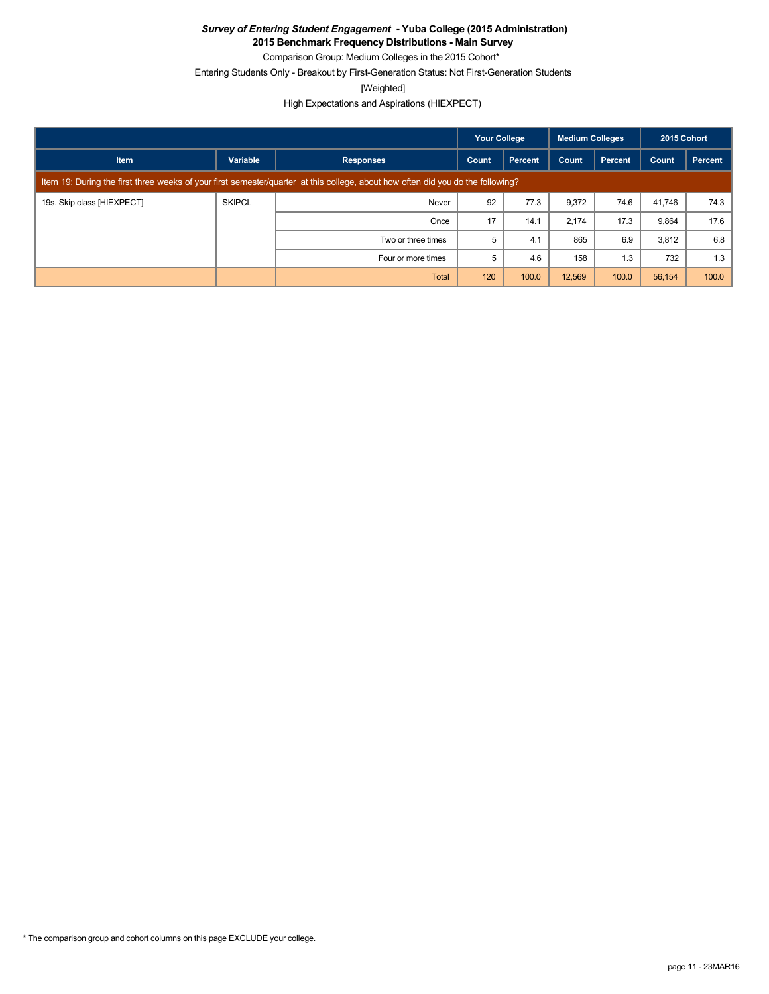**2015 Benchmark Frequency Distributions - Main Survey**

Comparison Group: Medium Colleges in the 2015 Cohort\* Entering Students Only - Breakout by First-Generation Status: Not First-Generation Students

[Weighted]

High Expectations and Aspirations (HIEXPECT)

|                            |               |                                                                                                                                 | <b>Your College</b> |                | <b>Medium Colleges</b> |                | 2015 Cohort |         |
|----------------------------|---------------|---------------------------------------------------------------------------------------------------------------------------------|---------------------|----------------|------------------------|----------------|-------------|---------|
| <b>Item</b>                | Variable      | <b>Responses</b>                                                                                                                | Count               | <b>Percent</b> | Count                  | <b>Percent</b> | Count       | Percent |
|                            |               | Item 19: During the first three weeks of your first semester/quarter at this college, about how often did you do the following? |                     |                |                        |                |             |         |
| 19s. Skip class [HIEXPECT] | <b>SKIPCL</b> | Never                                                                                                                           | 92                  | 77.3           | 9,372                  | 74.6           | 41,746      | 74.3    |
|                            |               | Once                                                                                                                            | 17                  | 14.1           | 2,174                  | 17.3           | 9,864       | 17.6    |
|                            |               | Two or three times                                                                                                              | 5                   | 4.1            | 865                    | 6.9            | 3,812       | 6.8     |
|                            |               | Four or more times                                                                                                              | 5                   | 4.6            | 158                    | 1.3            | 732         | 1.3     |
|                            |               | Total                                                                                                                           | 120                 | 100.0          | 12,569                 | 100.0          | 56,154      | 100.0   |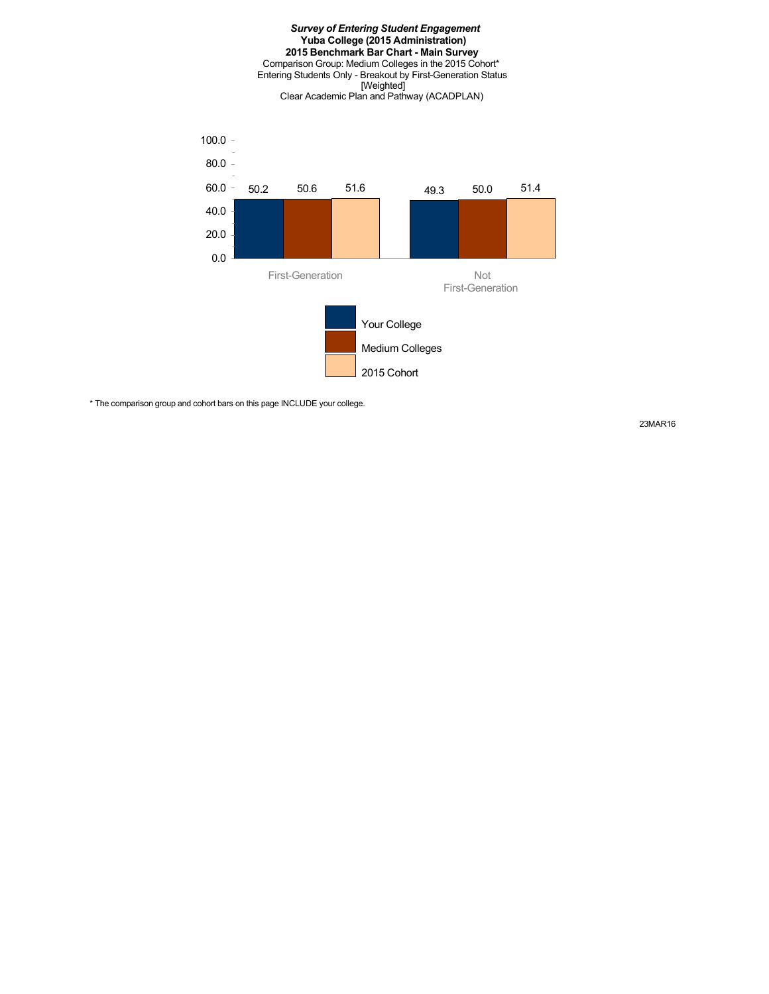#### *Survey of Entering Student Engagement* **Yuba College (2015 Administration) 2015 Benchmark Bar Chart - Main Survey** Comparison Group: Medium Colleges in the 2015 Cohort\* Entering Students Only - Breakout by First-Generation Status [Weighted] Clear Academic Plan and Pathway (ACADPLAN)



\* The comparison group and cohort bars on this page INCLUDE your college.

23MAR16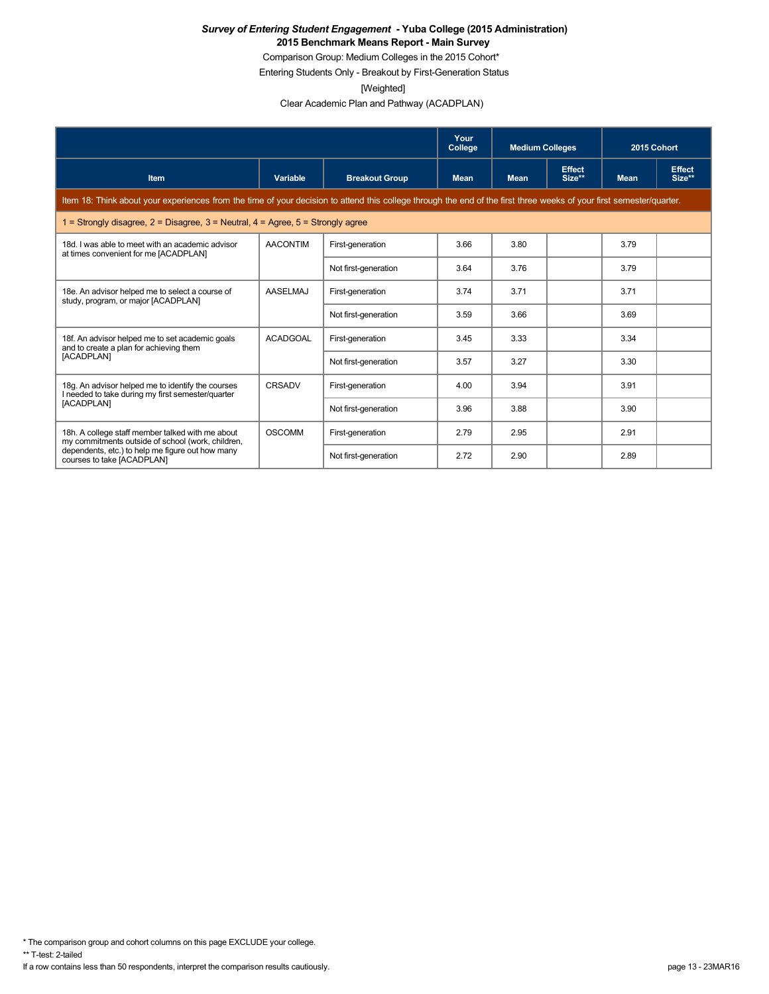Comparison Group: Medium Colleges in the 2015 Cohort\*

Entering Students Only - Breakout by First-Generation Status

[Weighted]

Clear Academic Plan and Pathway (ACADPLAN)

|                                                                                                                                                                      |                 |                       | Your<br>College | <b>Medium Colleges</b> |                         | 2015 Cohort |                         |
|----------------------------------------------------------------------------------------------------------------------------------------------------------------------|-----------------|-----------------------|-----------------|------------------------|-------------------------|-------------|-------------------------|
| <b>Item</b>                                                                                                                                                          | Variable        | <b>Breakout Group</b> | <b>Mean</b>     | <b>Mean</b>            | <b>Effect</b><br>Size** | <b>Mean</b> | <b>Effect</b><br>Size** |
| Item 18: Think about your experiences from the time of your decision to attend this college through the end of the first three weeks of your first semester/quarter. |                 |                       |                 |                        |                         |             |                         |
| 1 = Strongly disagree, $2$ = Disagree, $3$ = Neutral, $4$ = Agree, $5$ = Strongly agree                                                                              |                 |                       |                 |                        |                         |             |                         |
| 18d. I was able to meet with an academic advisor<br>at times convenient for me [ACADPLAN]                                                                            | <b>AACONTIM</b> | First-generation      | 3.66            | 3.80                   |                         | 3.79        |                         |
|                                                                                                                                                                      |                 | Not first-generation  | 3.64            | 3.76                   |                         | 3.79        |                         |
| 18e. An advisor helped me to select a course of<br>study, program, or major [ACADPLAN]                                                                               | <b>AASELMAJ</b> | First-generation      | 3.74            | 3.71                   |                         | 3.71        |                         |
|                                                                                                                                                                      |                 | Not first-generation  | 3.59            | 3.66                   |                         | 3.69        |                         |
| 18f. An advisor helped me to set academic goals<br>and to create a plan for achieving them                                                                           | <b>ACADGOAL</b> | First-generation      | 3.45            | 3.33                   |                         | 3.34        |                         |
| [ACADPLAN]                                                                                                                                                           |                 | Not first-generation  | 3.57            | 3.27                   |                         | 3.30        |                         |
| 18g. An advisor helped me to identify the courses<br>I needed to take during my first semester/quarter                                                               | CRSADV          | First-generation      | 4.00            | 3.94                   |                         | 3.91        |                         |
| [ACADPLAN]                                                                                                                                                           |                 | Not first-generation  | 3.96            | 3.88                   |                         | 3.90        |                         |
| 18h. A college staff member talked with me about<br>my commitments outside of school (work, children,                                                                | <b>OSCOMM</b>   | First-generation      | 2.79            | 2.95                   |                         | 2.91        |                         |
| dependents, etc.) to help me figure out how many<br>courses to take [ACADPLAN]                                                                                       |                 | Not first-generation  | 2.72            | 2.90                   |                         | 2.89        |                         |

\* The comparison group and cohort columns on this page EXCLUDE your college.

\*\* T-test: 2-tailed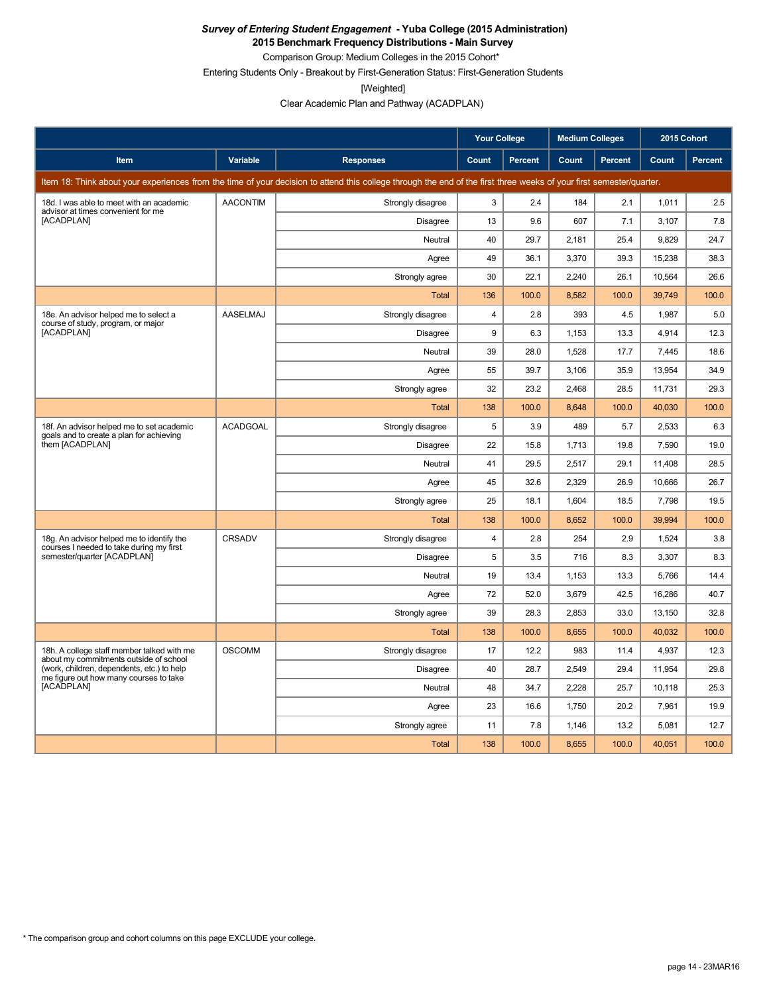**2015 Benchmark Frequency Distributions - Main Survey** Comparison Group: Medium Colleges in the 2015 Cohort\*

Entering Students Only - Breakout by First-Generation Status: First-Generation Students

[Weighted]

Clear Academic Plan and Pathway (ACADPLAN)

|                                                                                       |                 |                                                                                                                                                                      | <b>Your College</b> |                | <b>Medium Colleges</b> |         | 2015 Cohort |         |
|---------------------------------------------------------------------------------------|-----------------|----------------------------------------------------------------------------------------------------------------------------------------------------------------------|---------------------|----------------|------------------------|---------|-------------|---------|
| Item                                                                                  | Variable        | <b>Responses</b>                                                                                                                                                     | <b>Count</b>        | <b>Percent</b> | Count                  | Percent | Count       | Percent |
|                                                                                       |                 | Item 18: Think about your experiences from the time of your decision to attend this college through the end of the first three weeks of your first semester/quarter. |                     |                |                        |         |             |         |
| 18d. I was able to meet with an academic<br>advisor at times convenient for me        | <b>AACONTIM</b> | Strongly disagree                                                                                                                                                    | 3                   | 2.4            | 184                    | 2.1     | 1,011       | 2.5     |
| [ACADPLAN]                                                                            |                 | Disagree                                                                                                                                                             | 13                  | 9.6            | 607                    | 7.1     | 3,107       | 7.8     |
|                                                                                       |                 | Neutral                                                                                                                                                              | 40                  | 29.7           | 2,181                  | 25.4    | 9,829       | 24.7    |
|                                                                                       |                 | Agree                                                                                                                                                                | 49                  | 36.1           | 3,370                  | 39.3    | 15,238      | 38.3    |
|                                                                                       |                 | Strongly agree                                                                                                                                                       | 30                  | 22.1           | 2.240                  | 26.1    | 10,564      | 26.6    |
|                                                                                       |                 | Total                                                                                                                                                                | 136                 | 100.0          | 8,582                  | 100.0   | 39,749      | 100.0   |
| 18e. An advisor helped me to select a<br>course of study, program, or major           | <b>AASELMAJ</b> | Strongly disagree                                                                                                                                                    | $\overline{4}$      | 2.8            | 393                    | 4.5     | 1.987       | 5.0     |
| [ACADPLAN]                                                                            |                 | <b>Disagree</b>                                                                                                                                                      | 9                   | 6.3            | 1,153                  | 13.3    | 4,914       | 12.3    |
|                                                                                       |                 | Neutral                                                                                                                                                              | 39                  | 28.0           | 1,528                  | 17.7    | 7,445       | 18.6    |
|                                                                                       |                 | Agree                                                                                                                                                                | 55                  | 39.7           | 3,106                  | 35.9    | 13,954      | 34.9    |
|                                                                                       |                 | Strongly agree                                                                                                                                                       | 32                  | 23.2           | 2,468                  | 28.5    | 11,731      | 29.3    |
|                                                                                       |                 | <b>Total</b>                                                                                                                                                         | 138                 | 100.0          | 8,648                  | 100.0   | 40,030      | 100.0   |
| 18f. An advisor helped me to set academic<br>goals and to create a plan for achieving | <b>ACADGOAL</b> | Strongly disagree                                                                                                                                                    | 5                   | 3.9            | 489                    | 5.7     | 2,533       | 6.3     |
| them [ACADPLAN]                                                                       |                 | Disagree                                                                                                                                                             | 22                  | 15.8           | 1,713                  | 19.8    | 7,590       | 19.0    |
|                                                                                       |                 | Neutral                                                                                                                                                              | 41                  | 29.5           | 2,517                  | 29.1    | 11,408      | 28.5    |
|                                                                                       |                 | Agree                                                                                                                                                                | 45                  | 32.6           | 2,329                  | 26.9    | 10,666      | 26.7    |
|                                                                                       |                 | Strongly agree                                                                                                                                                       | 25                  | 18.1           | 1,604                  | 18.5    | 7,798       | 19.5    |
|                                                                                       |                 | Total                                                                                                                                                                | 138                 | 100.0          | 8,652                  | 100.0   | 39,994      | 100.0   |
| 18g. An advisor helped me to identify the<br>courses I needed to take during my first | CRSADV          | Strongly disagree                                                                                                                                                    | $\overline{4}$      | 2.8            | 254                    | 2.9     | 1,524       | 3.8     |
| semester/quarter [ACADPLAN]                                                           |                 | <b>Disagree</b>                                                                                                                                                      | 5                   | 3.5            | 716                    | 8.3     | 3,307       | 8.3     |
|                                                                                       |                 | Neutral                                                                                                                                                              | 19                  | 13.4           | 1,153                  | 13.3    | 5,766       | 14.4    |
|                                                                                       |                 | Agree                                                                                                                                                                | 72                  | 52.0           | 3,679                  | 42.5    | 16,286      | 40.7    |
|                                                                                       |                 | Strongly agree                                                                                                                                                       | 39                  | 28.3           | 2.853                  | 33.0    | 13,150      | 32.8    |
|                                                                                       |                 | Total                                                                                                                                                                | 138                 | 100.0          | 8.655                  | 100.0   | 40.032      | 100.0   |
| 18h. A college staff member talked with me<br>about my commitments outside of school  | <b>OSCOMM</b>   | Strongly disagree                                                                                                                                                    | 17                  | 12.2           | 983                    | 11.4    | 4,937       | 12.3    |
| (work, children, dependents, etc.) to help<br>me figure out how many courses to take  |                 | Disagree                                                                                                                                                             | 40                  | 28.7           | 2.549                  | 29.4    | 11,954      | 29.8    |
| [ACADPLAN]                                                                            |                 | Neutral                                                                                                                                                              | 48                  | 34.7           | 2,228                  | 25.7    | 10,118      | 25.3    |
|                                                                                       |                 | Agree                                                                                                                                                                | 23                  | 16.6           | 1,750                  | 20.2    | 7,961       | 19.9    |
|                                                                                       |                 | Strongly agree                                                                                                                                                       | 11                  | 7.8            | 1,146                  | 13.2    | 5,081       | 12.7    |
|                                                                                       |                 | <b>Total</b>                                                                                                                                                         | 138                 | 100.0          | 8,655                  | 100.0   | 40,051      | 100.0   |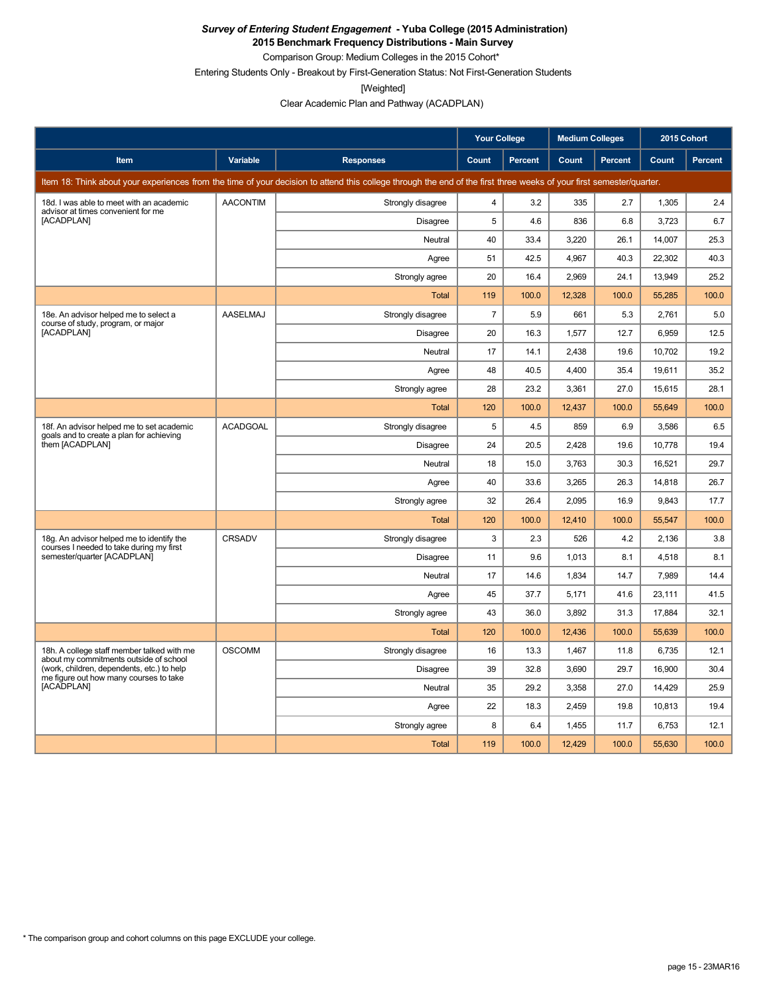**2015 Benchmark Frequency Distributions - Main Survey**

Comparison Group: Medium Colleges in the 2015 Cohort\*

Entering Students Only - Breakout by First-Generation Status: Not First-Generation Students

[Weighted]

Clear Academic Plan and Pathway (ACADPLAN)

|                                                                                       |                 |                                                                                                                                                                      | <b>Your College</b> |                | <b>Medium Colleges</b> |                | 2015 Cohort |         |
|---------------------------------------------------------------------------------------|-----------------|----------------------------------------------------------------------------------------------------------------------------------------------------------------------|---------------------|----------------|------------------------|----------------|-------------|---------|
| Item                                                                                  | Variable        | <b>Responses</b>                                                                                                                                                     | Count               | <b>Percent</b> | Count                  | <b>Percent</b> | Count       | Percent |
|                                                                                       |                 | Item 18: Think about your experiences from the time of your decision to attend this college through the end of the first three weeks of your first semester/quarter. |                     |                |                        |                |             |         |
| 18d. I was able to meet with an academic<br>advisor at times convenient for me        | <b>AACONTIM</b> | Strongly disagree                                                                                                                                                    | $\overline{4}$      | 3.2            | 335                    | 2.7            | 1,305       | 2.4     |
| [ACADPLAN]                                                                            |                 | <b>Disagree</b>                                                                                                                                                      | 5                   | 4.6            | 836                    | 6.8            | 3,723       | 6.7     |
|                                                                                       |                 | Neutral                                                                                                                                                              | 40                  | 33.4           | 3,220                  | 26.1           | 14,007      | 25.3    |
|                                                                                       |                 | Agree                                                                                                                                                                | 51                  | 42.5           | 4,967                  | 40.3           | 22,302      | 40.3    |
|                                                                                       |                 | Strongly agree                                                                                                                                                       | 20                  | 16.4           | 2,969                  | 24.1           | 13,949      | 25.2    |
|                                                                                       |                 | Total                                                                                                                                                                | 119                 | 100.0          | 12,328                 | 100.0          | 55,285      | 100.0   |
| 18e. An advisor helped me to select a<br>course of study, program, or major           | <b>AASELMAJ</b> | Strongly disagree                                                                                                                                                    | $\overline{7}$      | 5.9            | 661                    | 5.3            | 2,761       | 5.0     |
| [ACADPLAN]                                                                            |                 | Disagree                                                                                                                                                             | 20                  | 16.3           | 1,577                  | 12.7           | 6,959       | 12.5    |
|                                                                                       |                 | Neutral                                                                                                                                                              | 17                  | 14.1           | 2,438                  | 19.6           | 10,702      | 19.2    |
|                                                                                       |                 | Agree                                                                                                                                                                | 48                  | 40.5           | 4,400                  | 35.4           | 19,611      | 35.2    |
|                                                                                       |                 | Strongly agree                                                                                                                                                       | 28                  | 23.2           | 3,361                  | 27.0           | 15,615      | 28.1    |
|                                                                                       |                 | Total                                                                                                                                                                | 120                 | 100.0          | 12,437                 | 100.0          | 55,649      | 100.0   |
| 18f. An advisor helped me to set academic<br>goals and to create a plan for achieving | <b>ACADGOAL</b> | Strongly disagree                                                                                                                                                    | 5                   | 4.5            | 859                    | 6.9            | 3,586       | 6.5     |
| them [ACADPLAN]                                                                       |                 | Disagree                                                                                                                                                             | 24                  | 20.5           | 2,428                  | 19.6           | 10,778      | 19.4    |
|                                                                                       |                 | Neutral                                                                                                                                                              | 18                  | 15.0           | 3,763                  | 30.3           | 16,521      | 29.7    |
|                                                                                       |                 | Agree                                                                                                                                                                | 40                  | 33.6           | 3,265                  | 26.3           | 14,818      | 26.7    |
|                                                                                       |                 | Strongly agree                                                                                                                                                       | 32                  | 26.4           | 2,095                  | 16.9           | 9,843       | 17.7    |
|                                                                                       |                 | Total                                                                                                                                                                | 120                 | 100.0          | 12,410                 | 100.0          | 55,547      | 100.0   |
| 18g. An advisor helped me to identify the<br>courses I needed to take during my first | CRSADV          | Strongly disagree                                                                                                                                                    | 3                   | 2.3            | 526                    | 4.2            | 2,136       | 3.8     |
| semester/quarter [ACADPLAN]                                                           |                 | Disagree                                                                                                                                                             | 11                  | 9.6            | 1,013                  | 8.1            | 4,518       | 8.1     |
|                                                                                       |                 | Neutral                                                                                                                                                              | 17                  | 14.6           | 1,834                  | 14.7           | 7,989       | 14.4    |
|                                                                                       |                 | Agree                                                                                                                                                                | 45                  | 37.7           | 5,171                  | 41.6           | 23,111      | 41.5    |
|                                                                                       |                 | Strongly agree                                                                                                                                                       | 43                  | 36.0           | 3.892                  | 31.3           | 17.884      | 32.1    |
|                                                                                       |                 | Total                                                                                                                                                                | 120                 | 100.0          | 12,436                 | 100.0          | 55,639      | 100.0   |
| 18h. A college staff member talked with me<br>about my commitments outside of school  | <b>OSCOMM</b>   | Strongly disagree                                                                                                                                                    | 16                  | 13.3           | 1,467                  | 11.8           | 6,735       | 12.1    |
| (work, children, dependents, etc.) to help<br>me figure out how many courses to take  |                 | Disagree                                                                                                                                                             | 39                  | 32.8           | 3,690                  | 29.7           | 16,900      | 30.4    |
| [ACADPLAN]                                                                            |                 | Neutral                                                                                                                                                              | 35                  | 29.2           | 3,358                  | 27.0           | 14,429      | 25.9    |
|                                                                                       |                 | Agree                                                                                                                                                                | 22                  | 18.3           | 2,459                  | 19.8           | 10,813      | 19.4    |
|                                                                                       |                 | Strongly agree                                                                                                                                                       | 8                   | 6.4            | 1,455                  | 11.7           | 6,753       | 12.1    |
|                                                                                       |                 | Total                                                                                                                                                                | 119                 | 100.0          | 12,429                 | 100.0          | 55,630      | 100.0   |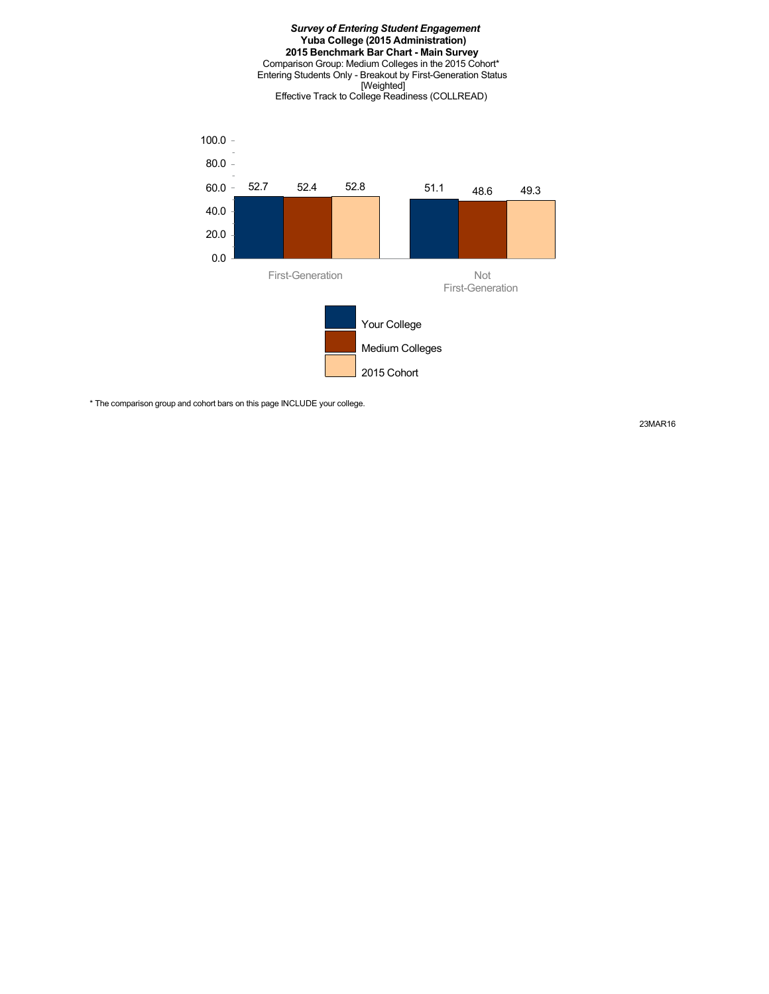#### *Survey of Entering Student Engagement* **Yuba College (2015 Administration) 2015 Benchmark Bar Chart - Main Survey** Comparison Group: Medium Colleges in the 2015 Cohort\* Entering Students Only - Breakout by First-Generation Status [Weighted] Effective Track to College Readiness (COLLREAD)



\* The comparison group and cohort bars on this page INCLUDE your college.

23MAR16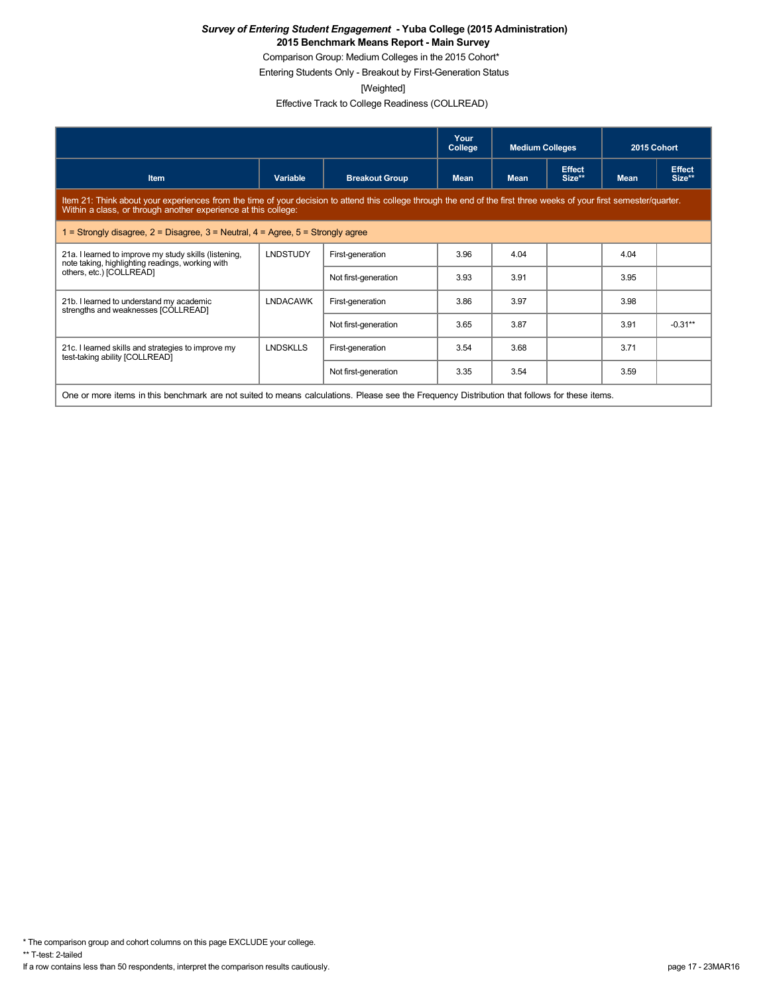Comparison Group: Medium Colleges in the 2015 Cohort\*

Entering Students Only - Breakout by First-Generation Status

[Weighted]

Effective Track to College Readiness (COLLREAD)

|                                                                                                                                                                                                                                        |                                                                                                                                               |                       | Your<br>College | <b>Medium Colleges</b> |                         | 2015 Cohort |                         |  |  |  |
|----------------------------------------------------------------------------------------------------------------------------------------------------------------------------------------------------------------------------------------|-----------------------------------------------------------------------------------------------------------------------------------------------|-----------------------|-----------------|------------------------|-------------------------|-------------|-------------------------|--|--|--|
| <b>Item</b>                                                                                                                                                                                                                            | Variable                                                                                                                                      | <b>Breakout Group</b> | <b>Mean</b>     | <b>Mean</b>            | <b>Effect</b><br>Size** | <b>Mean</b> | <b>Effect</b><br>Size** |  |  |  |
| Item 21: Think about your experiences from the time of your decision to attend this college through the end of the first three weeks of your first semester/quarter.<br>Within a class, or through another experience at this college: |                                                                                                                                               |                       |                 |                        |                         |             |                         |  |  |  |
| 1 = Strongly disagree, $2$ = Disagree, $3$ = Neutral, $4$ = Agree, $5$ = Strongly agree                                                                                                                                                |                                                                                                                                               |                       |                 |                        |                         |             |                         |  |  |  |
| 21a. I learned to improve my study skills (listening,<br>note taking, highlighting readings, working with                                                                                                                              | <b>LNDSTUDY</b>                                                                                                                               | First-generation      | 3.96            | 4.04                   |                         | 4.04        |                         |  |  |  |
| others, etc.) [COLLREAD]                                                                                                                                                                                                               |                                                                                                                                               | Not first-generation  | 3.93            | 3.91                   |                         | 3.95        |                         |  |  |  |
| 21b. I learned to understand my academic<br>strengths and weaknesses [COLLREAD]                                                                                                                                                        | <b>LNDACAWK</b>                                                                                                                               | First-generation      | 3.86            | 3.97                   |                         | 3.98        |                         |  |  |  |
|                                                                                                                                                                                                                                        |                                                                                                                                               | Not first-generation  | 3.65            | 3.87                   |                         | 3.91        | $-0.31**$               |  |  |  |
| 21c. I learned skills and strategies to improve my<br>test-taking ability [COLLREAD]                                                                                                                                                   | <b>LNDSKLLS</b>                                                                                                                               | First-generation      | 3.54            | 3.68                   |                         | 3.71        |                         |  |  |  |
|                                                                                                                                                                                                                                        |                                                                                                                                               | Not first-generation  | 3.35            | 3.54                   |                         | 3.59        |                         |  |  |  |
|                                                                                                                                                                                                                                        | One or more items in this benchmark are not suited to means calculations. Please see the Frequency Distribution that follows for these items. |                       |                 |                        |                         |             |                         |  |  |  |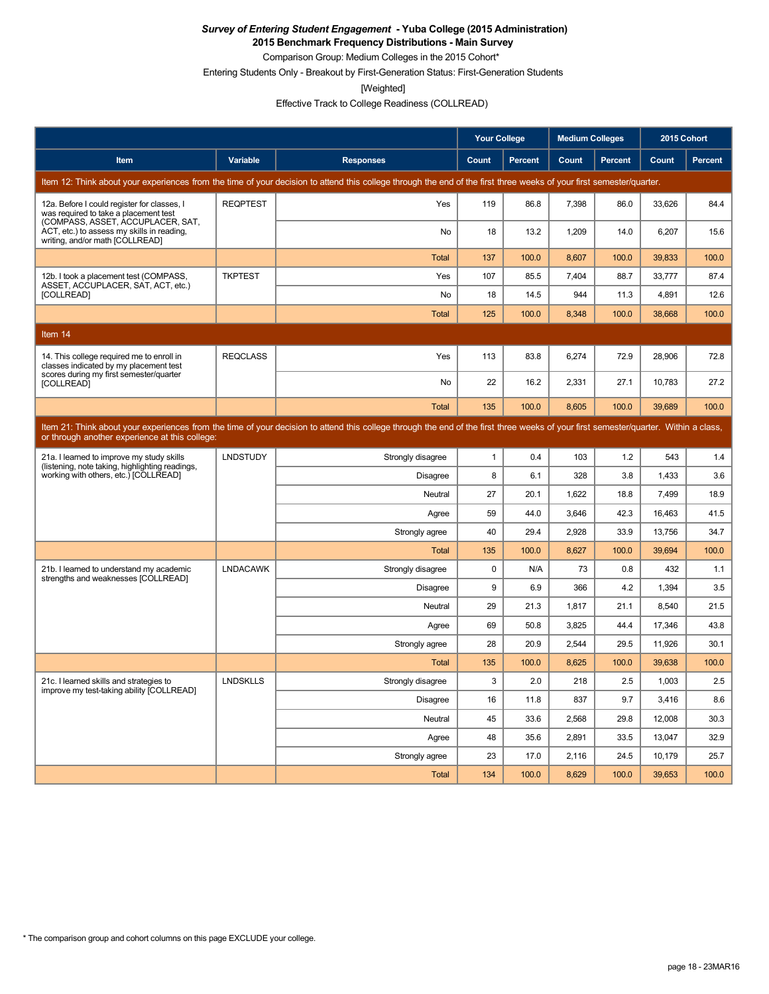**2015 Benchmark Frequency Distributions - Main Survey**

Comparison Group: Medium Colleges in the 2015 Cohort\*

Entering Students Only - Breakout by First-Generation Status: First-Generation Students

[Weighted]

Effective Track to College Readiness (COLLREAD)

|                                                                                                                           |                 |                                                                                                                                                                                      | <b>Your College</b> |                | <b>Medium Colleges</b> |                | 2015 Cohort |         |
|---------------------------------------------------------------------------------------------------------------------------|-----------------|--------------------------------------------------------------------------------------------------------------------------------------------------------------------------------------|---------------------|----------------|------------------------|----------------|-------------|---------|
| Item                                                                                                                      | Variable        | <b>Responses</b>                                                                                                                                                                     | Count               | <b>Percent</b> | Count                  | <b>Percent</b> | Count       | Percent |
|                                                                                                                           |                 | Item 12: Think about your experiences from the time of your decision to attend this college through the end of the first three weeks of your first semester/quarter.                 |                     |                |                        |                |             |         |
| 12a. Before I could register for classes, I<br>was required to take a placement test<br>(COMPASS, ASSET, ACCUPLACER, SAT, | <b>REQPTEST</b> | Yes                                                                                                                                                                                  | 119                 | 86.8           | 7,398                  | 86.0           | 33,626      | 84.4    |
| ACT, etc.) to assess my skills in reading,<br>writing, and/or math [COLLREAD]                                             |                 | No                                                                                                                                                                                   | 18                  | 13.2           | 1,209                  | 14.0           | 6,207       | 15.6    |
|                                                                                                                           |                 | <b>Total</b>                                                                                                                                                                         | 137                 | 100.0          | 8.607                  | 100.0          | 39,833      | 100.0   |
| 12b. I took a placement test (COMPASS,<br>ASSET, ACCUPLACER, SAT, ACT, etc.)                                              | <b>TKPTEST</b>  | Yes                                                                                                                                                                                  | 107                 | 85.5           | 7,404                  | 88.7           | 33,777      | 87.4    |
| [COLLREAD]                                                                                                                |                 | No                                                                                                                                                                                   | 18                  | 14.5           | 944                    | 11.3           | 4,891       | 12.6    |
|                                                                                                                           |                 | <b>Total</b>                                                                                                                                                                         | 125                 | 100.0          | 8,348                  | 100.0          | 38,668      | 100.0   |
| Item 14                                                                                                                   |                 |                                                                                                                                                                                      |                     |                |                        |                |             |         |
| 14. This college required me to enroll in<br>classes indicated by my placement test                                       | <b>REQCLASS</b> | Yes                                                                                                                                                                                  | 113                 | 83.8           | 6,274                  | 72.9           | 28.906      | 72.8    |
| scores during my first semester/quarter<br>[COLLREAD]                                                                     |                 | No                                                                                                                                                                                   | 22                  | 16.2           | 2,331                  | 27.1           | 10,783      | 27.2    |
|                                                                                                                           |                 | <b>Total</b>                                                                                                                                                                         | 135                 | 100.0          | 8.605                  | 100.0          | 39.689      | 100.0   |
| or through another experience at this college:                                                                            |                 | Item 21: Think about your experiences from the time of your decision to attend this college through the end of the first three weeks of your first semester/quarter. Within a class, |                     |                |                        |                |             |         |
| 21a. I learned to improve my study skills<br>(listening, note taking, highlighting readings,                              | <b>LNDSTUDY</b> | Strongly disagree                                                                                                                                                                    | $\mathbf{1}$        | 0.4            | 103                    | 1.2            | 543         | 1.4     |
| working with others, etc.) [COLLREAD]                                                                                     |                 | <b>Disagree</b>                                                                                                                                                                      | 8                   | 6.1            | 328                    | 3.8            | 1,433       | 3.6     |
|                                                                                                                           |                 | Neutral                                                                                                                                                                              | 27                  | 20.1           | 1,622                  | 18.8           | 7.499       | 18.9    |
|                                                                                                                           |                 | Agree                                                                                                                                                                                | 59                  | 44.0           | 3,646                  | 42.3           | 16,463      | 41.5    |
|                                                                                                                           |                 | Strongly agree                                                                                                                                                                       | 40                  | 29.4           | 2,928                  | 33.9           | 13,756      | 34.7    |
|                                                                                                                           |                 | <b>Total</b>                                                                                                                                                                         | 135                 | 100.0          | 8,627                  | 100.0          | 39,694      | 100.0   |
| 21b. I learned to understand my academic<br>strengths and weaknesses [COLLREAD]                                           | <b>LNDACAWK</b> | Strongly disagree                                                                                                                                                                    | $\mathbf 0$         | N/A            | 73                     | 0.8            | 432         | 1.1     |
|                                                                                                                           |                 | Disagree                                                                                                                                                                             | 9                   | 6.9            | 366                    | 4.2            | 1.394       | 3.5     |
|                                                                                                                           |                 | Neutral                                                                                                                                                                              | 29                  | 21.3           | 1,817                  | 21.1           | 8,540       | 21.5    |
|                                                                                                                           |                 | Agree                                                                                                                                                                                | 69                  | 50.8           | 3,825                  | 44.4           | 17,346      | 43.8    |
|                                                                                                                           |                 | Strongly agree                                                                                                                                                                       | 28                  | 20.9           | 2,544                  | 29.5           | 11,926      | 30.1    |
|                                                                                                                           |                 | Total                                                                                                                                                                                | 135                 | 100.0          | 8,625                  | 100.0          | 39,638      | 100.0   |
| 21c. I learned skills and strategies to<br>improve my test-taking ability [COLLREAD]                                      | <b>LNDSKLLS</b> | Strongly disagree                                                                                                                                                                    | 3                   | 2.0            | 218                    | 2.5            | 1,003       | 2.5     |
|                                                                                                                           |                 | <b>Disagree</b>                                                                                                                                                                      | 16                  | 11.8           | 837                    | 9.7            | 3.416       | 8.6     |
|                                                                                                                           |                 | Neutral                                                                                                                                                                              | 45                  | 33.6           | 2,568                  | 29.8           | 12,008      | 30.3    |
|                                                                                                                           |                 | Agree                                                                                                                                                                                | 48                  | 35.6           | 2.891                  | 33.5           | 13,047      | 32.9    |
|                                                                                                                           |                 | Strongly agree                                                                                                                                                                       | 23                  | 17.0           | 2,116                  | 24.5           | 10,179      | 25.7    |
|                                                                                                                           |                 | <b>Total</b>                                                                                                                                                                         | 134                 | 100.0          | 8.629                  | 100.0          | 39.653      | 100.0   |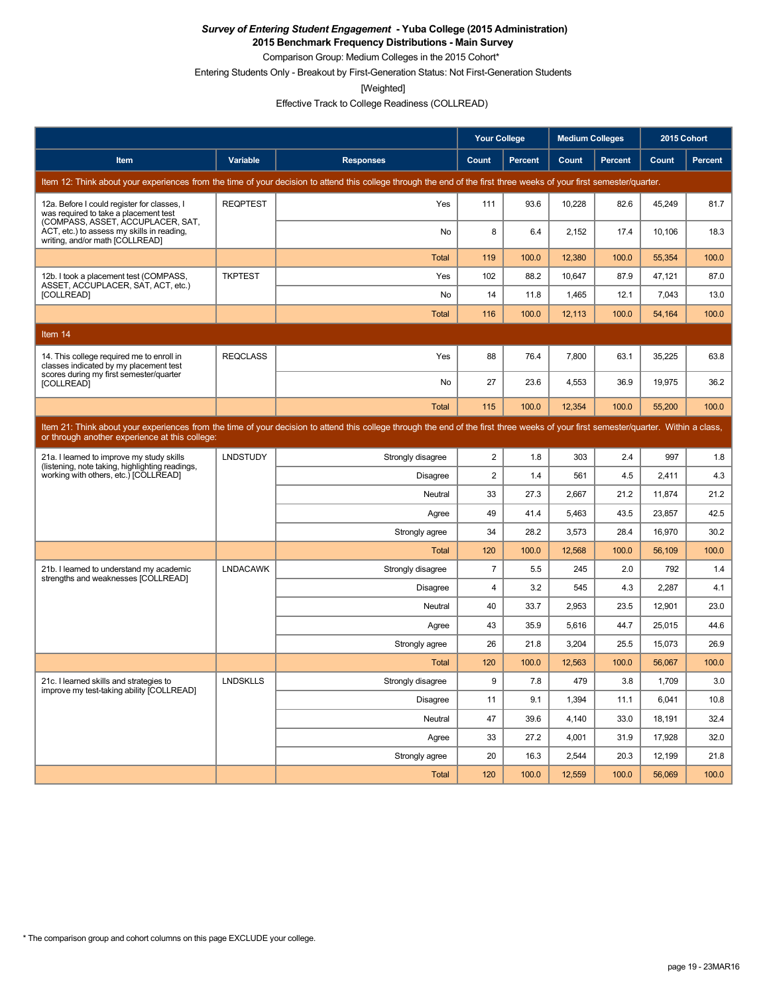**2015 Benchmark Frequency Distributions - Main Survey**

Comparison Group: Medium Colleges in the 2015 Cohort\*

Entering Students Only - Breakout by First-Generation Status: Not First-Generation Students

[Weighted]

Effective Track to College Readiness (COLLREAD)

|                                                                                                                           |                 |                                                                                                                                                                                      | <b>Your College</b> |                | <b>Medium Colleges</b> |                | 2015 Cohort |                |
|---------------------------------------------------------------------------------------------------------------------------|-----------------|--------------------------------------------------------------------------------------------------------------------------------------------------------------------------------------|---------------------|----------------|------------------------|----------------|-------------|----------------|
| Item                                                                                                                      | Variable        | <b>Responses</b>                                                                                                                                                                     | Count               | <b>Percent</b> | Count                  | <b>Percent</b> | Count       | <b>Percent</b> |
|                                                                                                                           |                 | Item 12: Think about your experiences from the time of your decision to attend this college through the end of the first three weeks of your first semester/quarter.                 |                     |                |                        |                |             |                |
| 12a. Before I could register for classes, I<br>was required to take a placement test<br>(COMPASS, ASSET, ACCUPLACER, SAT, | <b>REQPTEST</b> | Yes                                                                                                                                                                                  | 111                 | 93.6           | 10,228                 | 82.6           | 45,249      | 81.7           |
| ACT, etc.) to assess my skills in reading,<br>writing, and/or math [COLLREAD]                                             |                 | No                                                                                                                                                                                   | 8                   | 6.4            | 2,152                  | 17.4           | 10,106      | 18.3           |
|                                                                                                                           |                 | <b>Total</b>                                                                                                                                                                         | 119                 | 100.0          | 12,380                 | 100.0          | 55,354      | 100.0          |
| 12b. I took a placement test (COMPASS,<br>ASSET, ACCUPLACER, SAT, ACT, etc.)                                              | <b>TKPTEST</b>  | Yes                                                                                                                                                                                  | 102                 | 88.2           | 10.647                 | 87.9           | 47,121      | 87.0           |
| [COLLREAD]                                                                                                                |                 | No                                                                                                                                                                                   | 14                  | 11.8           | 1,465                  | 12.1           | 7,043       | 13.0           |
|                                                                                                                           |                 | <b>Total</b>                                                                                                                                                                         | 116                 | 100.0          | 12.113                 | 100.0          | 54.164      | 100.0          |
| Item 14                                                                                                                   |                 |                                                                                                                                                                                      |                     |                |                        |                |             |                |
| 14. This college required me to enroll in<br>classes indicated by my placement test                                       | <b>REQCLASS</b> | Yes                                                                                                                                                                                  | 88                  | 76.4           | 7.800                  | 63.1           | 35,225      | 63.8           |
| scores during my first semester/quarter<br>[COLLREAD]                                                                     |                 | No                                                                                                                                                                                   | 27                  | 23.6           | 4,553                  | 36.9           | 19,975      | 36.2           |
|                                                                                                                           |                 | <b>Total</b>                                                                                                                                                                         | 115                 | 100.0          | 12,354                 | 100.0          | 55,200      | 100.0          |
| or through another experience at this college:                                                                            |                 | Item 21: Think about your experiences from the time of your decision to attend this college through the end of the first three weeks of your first semester/quarter. Within a class, |                     |                |                        |                |             |                |
| 21a. I learned to improve my study skills<br>(listening, note taking, highlighting readings,                              | <b>LNDSTUDY</b> | Strongly disagree                                                                                                                                                                    | $\overline{2}$      | 1.8            | 303                    | 2.4            | 997         | 1.8            |
| working with others, etc.) [COLLREAD]                                                                                     |                 | <b>Disagree</b>                                                                                                                                                                      | $\overline{2}$      | 1.4            | 561                    | 4.5            | 2,411       | 4.3            |
|                                                                                                                           |                 | Neutral                                                                                                                                                                              | 33                  | 27.3           | 2,667                  | 21.2           | 11,874      | 21.2           |
|                                                                                                                           |                 | Agree                                                                                                                                                                                | 49                  | 41.4           | 5,463                  | 43.5           | 23,857      | 42.5           |
|                                                                                                                           |                 | Strongly agree                                                                                                                                                                       | 34                  | 28.2           | 3,573                  | 28.4           | 16,970      | 30.2           |
|                                                                                                                           |                 | <b>Total</b>                                                                                                                                                                         | 120                 | 100.0          | 12,568                 | 100.0          | 56,109      | 100.0          |
| 21b. I learned to understand my academic<br>strengths and weaknesses [COLLREAD]                                           | <b>LNDACAWK</b> | Strongly disagree                                                                                                                                                                    | $\overline{7}$      | 5.5            | 245                    | 2.0            | 792         | 1.4            |
|                                                                                                                           |                 | <b>Disagree</b>                                                                                                                                                                      | $\overline{4}$      | 3.2            | 545                    | 4.3            | 2,287       | 4.1            |
|                                                                                                                           |                 | Neutral                                                                                                                                                                              | 40                  | 33.7           | 2,953                  | 23.5           | 12,901      | 23.0           |
|                                                                                                                           |                 | Agree                                                                                                                                                                                | 43                  | 35.9           | 5,616                  | 44.7           | 25,015      | 44.6           |
|                                                                                                                           |                 | Strongly agree                                                                                                                                                                       | 26                  | 21.8           | 3,204                  | 25.5           | 15,073      | 26.9           |
|                                                                                                                           |                 | <b>Total</b>                                                                                                                                                                         | 120                 | 100.0          | 12,563                 | 100.0          | 56,067      | 100.0          |
| 21c. I learned skills and strategies to<br>improve my test-taking ability [COLLREAD]                                      | <b>LNDSKLLS</b> | Strongly disagree                                                                                                                                                                    | 9                   | 7.8            | 479                    | 3.8            | 1,709       | 3.0            |
|                                                                                                                           |                 | <b>Disagree</b>                                                                                                                                                                      | 11                  | 9.1            | 1,394                  | 11.1           | 6,041       | 10.8           |
|                                                                                                                           |                 | Neutral                                                                                                                                                                              | 47                  | 39.6           | 4,140                  | 33.0           | 18,191      | 32.4           |
|                                                                                                                           |                 | Agree                                                                                                                                                                                | 33                  | 27.2           | 4,001                  | 31.9           | 17,928      | 32.0           |
|                                                                                                                           |                 | Strongly agree                                                                                                                                                                       | 20                  | 16.3           | 2,544                  | 20.3           | 12,199      | 21.8           |
|                                                                                                                           |                 | <b>Total</b>                                                                                                                                                                         | 120                 | 100.0          | 12.559                 | 100.0          | 56.069      | 100.0          |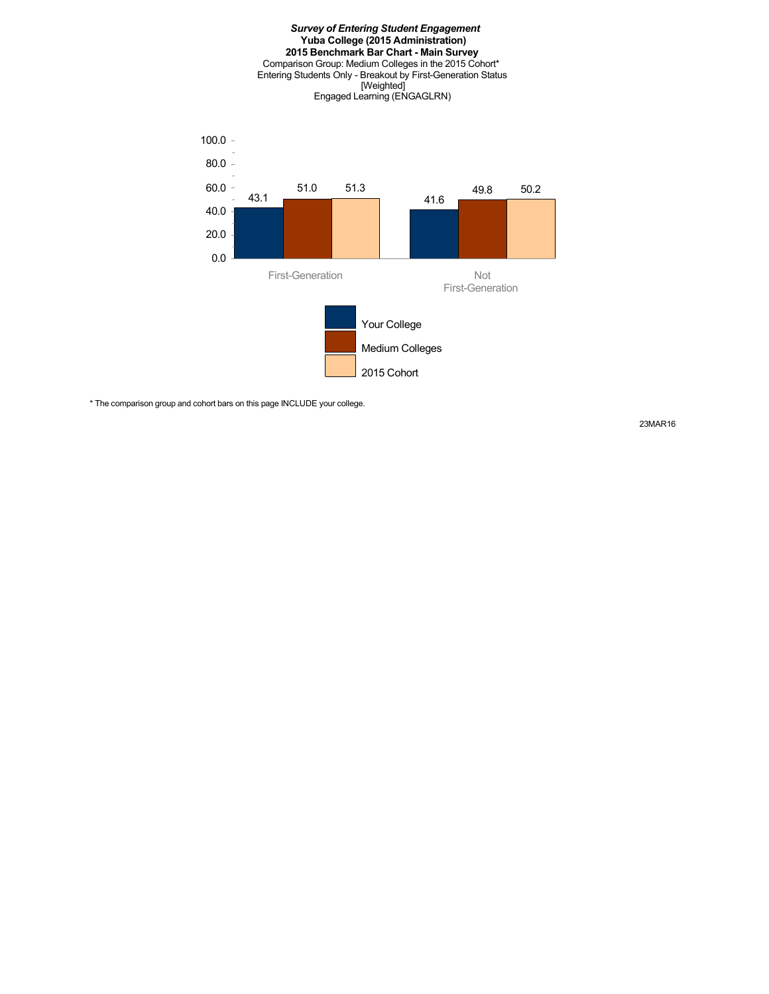

\* The comparison group and cohort bars on this page INCLUDE your college.

23MAR16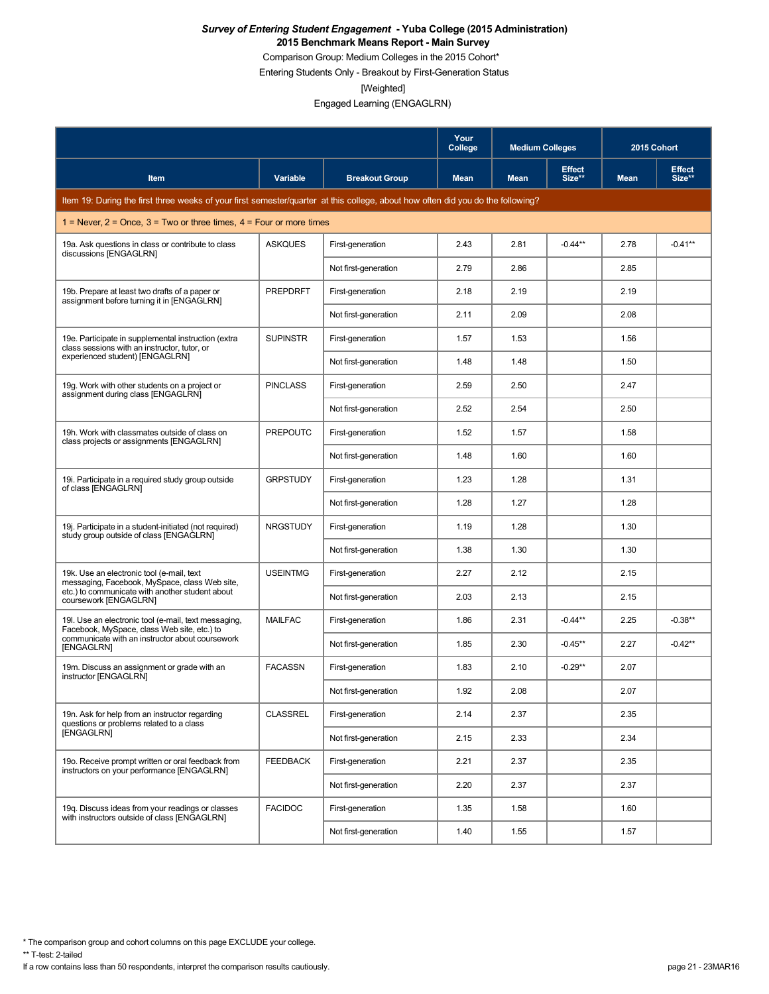Comparison Group: Medium Colleges in the 2015 Cohort\*

Entering Students Only - Breakout by First-Generation Status

[Weighted]

Engaged Learning (ENGAGLRN)

|                                                                                                                                 |                 |                       | Your<br>College | <b>Medium Colleges</b> |                         | 2015 Cohort |                         |
|---------------------------------------------------------------------------------------------------------------------------------|-----------------|-----------------------|-----------------|------------------------|-------------------------|-------------|-------------------------|
| Item                                                                                                                            | <b>Variable</b> | <b>Breakout Group</b> | <b>Mean</b>     | <b>Mean</b>            | <b>Effect</b><br>Size** | <b>Mean</b> | <b>Effect</b><br>Size** |
| Item 19: During the first three weeks of your first semester/quarter at this college, about how often did you do the following? |                 |                       |                 |                        |                         |             |                         |
| 1 = Never, $2 =$ Once, $3 =$ Two or three times, $4 =$ Four or more times                                                       |                 |                       |                 |                        |                         |             |                         |
| 19a. Ask questions in class or contribute to class<br>discussions [ENGAGLRN]                                                    | <b>ASKQUES</b>  | First-generation      | 2.43            | 2.81                   | $-0.44**$               | 2.78        | $-0.41**$               |
|                                                                                                                                 |                 | Not first-generation  | 2.79            | 2.86                   |                         | 2.85        |                         |
| 19b. Prepare at least two drafts of a paper or<br>assignment before turning it in [ENGAGLRN]                                    | <b>PREPDRFT</b> | First-generation      | 2.18            | 2.19                   |                         | 2.19        |                         |
|                                                                                                                                 |                 | Not first-generation  | 2.11            | 2.09                   |                         | 2.08        |                         |
| 19e. Participate in supplemental instruction (extra<br>class sessions with an instructor, tutor, or                             | <b>SUPINSTR</b> | First-generation      | 1.57            | 1.53                   |                         | 1.56        |                         |
| experienced student) [ENGAGLRN]                                                                                                 |                 | Not first-generation  | 1.48            | 1.48                   |                         | 1.50        |                         |
| 19g. Work with other students on a project or<br>assignment during class IENGAGLRN1                                             | <b>PINCLASS</b> | First-generation      | 2.59            | 2.50                   |                         | 2.47        |                         |
|                                                                                                                                 |                 | Not first-generation  | 2.52            | 2.54                   |                         | 2.50        |                         |
| 19h. Work with classmates outside of class on<br>class projects or assignments [ENGAGLRN]                                       | <b>PREPOUTC</b> | First-generation      | 1.52            | 1.57                   |                         | 1.58        |                         |
|                                                                                                                                 |                 | Not first-generation  | 1.48            | 1.60                   |                         | 1.60        |                         |
| 19. Participate in a required study group outside<br>of class [ENGAGLRN]                                                        | <b>GRPSTUDY</b> | First-generation      | 1.23            | 1.28                   |                         | 1.31        |                         |
|                                                                                                                                 |                 | Not first-generation  | 1.28            | 1.27                   |                         | 1.28        |                         |
| 19. Participate in a student-initiated (not required)<br>study group outside of class [ENGAGLRN]                                | <b>NRGSTUDY</b> | First-generation      | 1.19            | 1.28                   |                         | 1.30        |                         |
|                                                                                                                                 |                 | Not first-generation  | 1.38            | 1.30                   |                         | 1.30        |                         |
| 19k. Use an electronic tool (e-mail, text<br>messaging, Facebook, MySpace, class Web site,                                      | <b>USEINTMG</b> | First-generation      | 2.27            | 2.12                   |                         | 2.15        |                         |
| etc.) to communicate with another student about<br>coursework [ENGAGLRN]                                                        |                 | Not first-generation  | 2.03            | 2.13                   |                         | 2.15        |                         |
| 19. Use an electronic tool (e-mail, text messaging,<br>Facebook, MySpace, class Web site, etc.) to                              | <b>MAILFAC</b>  | First-generation      | 1.86            | 2.31                   | $-0.44**$               | 2.25        | $-0.38**$               |
| communicate with an instructor about coursework<br>[ENGAGLRN]                                                                   |                 | Not first-generation  | 1.85            | 2.30                   | $-0.45**$               | 2.27        | $-0.42**$               |
| 19m. Discuss an assignment or grade with an<br>instructor [ENGAGLRN]                                                            | <b>FACASSN</b>  | First-generation      | 1.83            | 2.10                   | $-0.29**$               | 2.07        |                         |
|                                                                                                                                 |                 | Not first-generation  | 1.92            | 2.08                   |                         | 2.07        |                         |
| 19n. Ask for help from an instructor regarding<br>questions or problems related to a class                                      | <b>CLASSREL</b> | First-generation      | 2.14            | 2.37                   |                         | 2.35        |                         |
| [ENGAGLRN]                                                                                                                      |                 | Not first-generation  | 2.15            | 2.33                   |                         | 2.34        |                         |
| 19o. Receive prompt written or oral feedback from<br>instructors on your performance [ENGAGLRN]                                 | <b>FEEDBACK</b> | First-generation      | 2.21            | 2.37                   |                         | 2.35        |                         |
|                                                                                                                                 |                 | Not first-generation  | 2.20            | 2.37                   |                         | 2.37        |                         |
| 19q. Discuss ideas from your readings or classes<br>with instructors outside of class [ENGAGLRN]                                | <b>FACIDOC</b>  | First-generation      | 1.35            | 1.58                   |                         | 1.60        |                         |
|                                                                                                                                 |                 | Not first-generation  | 1.40            | 1.55                   |                         | 1.57        |                         |

\* The comparison group and cohort columns on this page EXCLUDE your college.

\*\* T-test: 2-tailed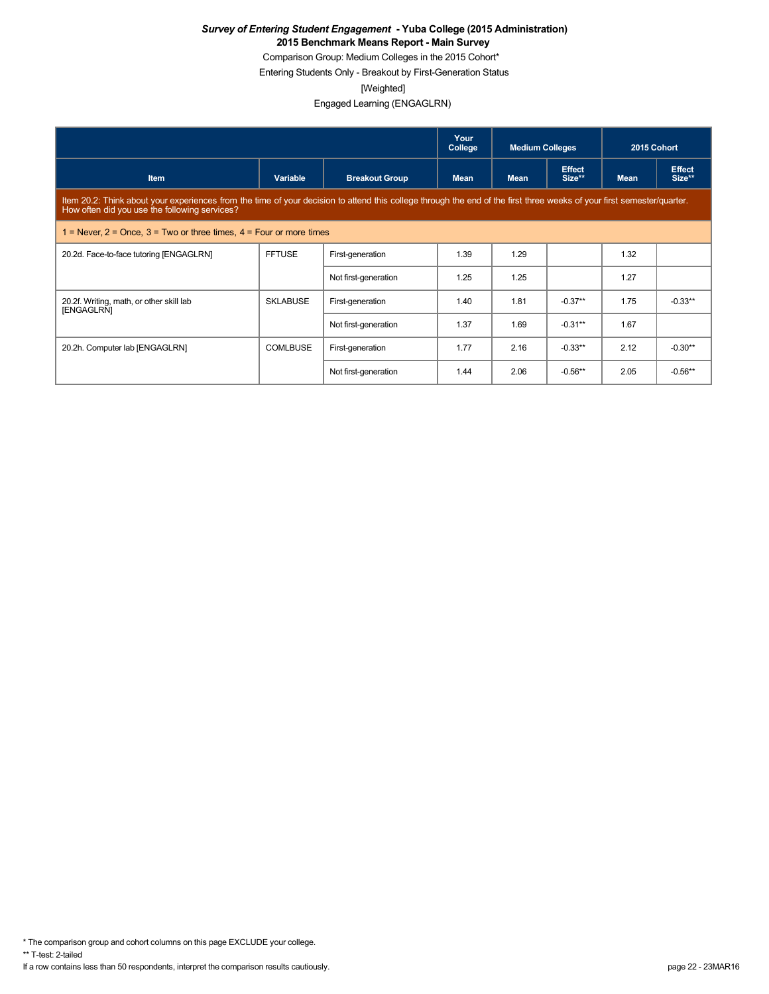Comparison Group: Medium Colleges in the 2015 Cohort\*

Entering Students Only - Breakout by First-Generation Status

[Weighted]

Engaged Learning (ENGAGLRN)

|                                                                                                                                                                                                                         |                 |                       | Your<br>College | <b>Medium Colleges</b> |                         | 2015 Cohort |                         |  |  |
|-------------------------------------------------------------------------------------------------------------------------------------------------------------------------------------------------------------------------|-----------------|-----------------------|-----------------|------------------------|-------------------------|-------------|-------------------------|--|--|
| <b>Item</b>                                                                                                                                                                                                             | Variable        | <b>Breakout Group</b> | <b>Mean</b>     | <b>Mean</b>            | <b>Effect</b><br>Size** | <b>Mean</b> | <b>Effect</b><br>Size** |  |  |
| Item 20.2: Think about your experiences from the time of your decision to attend this college through the end of the first three weeks of your first semester/quarter.<br>How often did you use the following services? |                 |                       |                 |                        |                         |             |                         |  |  |
| 1 = Never, $2$ = Once, $3$ = Two or three times, $4$ = Four or more times                                                                                                                                               |                 |                       |                 |                        |                         |             |                         |  |  |
| 20.2d. Face-to-face tutoring [ENGAGLRN]                                                                                                                                                                                 | <b>FFTUSE</b>   | First-generation      | 1.39            | 1.29                   |                         | 1.32        |                         |  |  |
|                                                                                                                                                                                                                         |                 | Not first-generation  | 1.25            | 1.25                   |                         | 1.27        |                         |  |  |
| 20.2f. Writing, math, or other skill lab<br>[ENGAGLRN]                                                                                                                                                                  | <b>SKLABUSE</b> | First-generation      | 1.40            | 1.81                   | $-0.37**$               | 1.75        | $-0.33**$               |  |  |
|                                                                                                                                                                                                                         |                 | Not first-generation  | 1.37            | 1.69                   | $-0.31***$              | 1.67        |                         |  |  |
| 20.2h. Computer lab [ENGAGLRN]                                                                                                                                                                                          | <b>COMLBUSE</b> | First-generation      | 1.77            | 2.16                   | $-0.33**$               | 2.12        | $-0.30**$               |  |  |
|                                                                                                                                                                                                                         |                 | Not first-generation  | 1.44            | 2.06                   | $-0.56**$               | 2.05        | $-0.56**$               |  |  |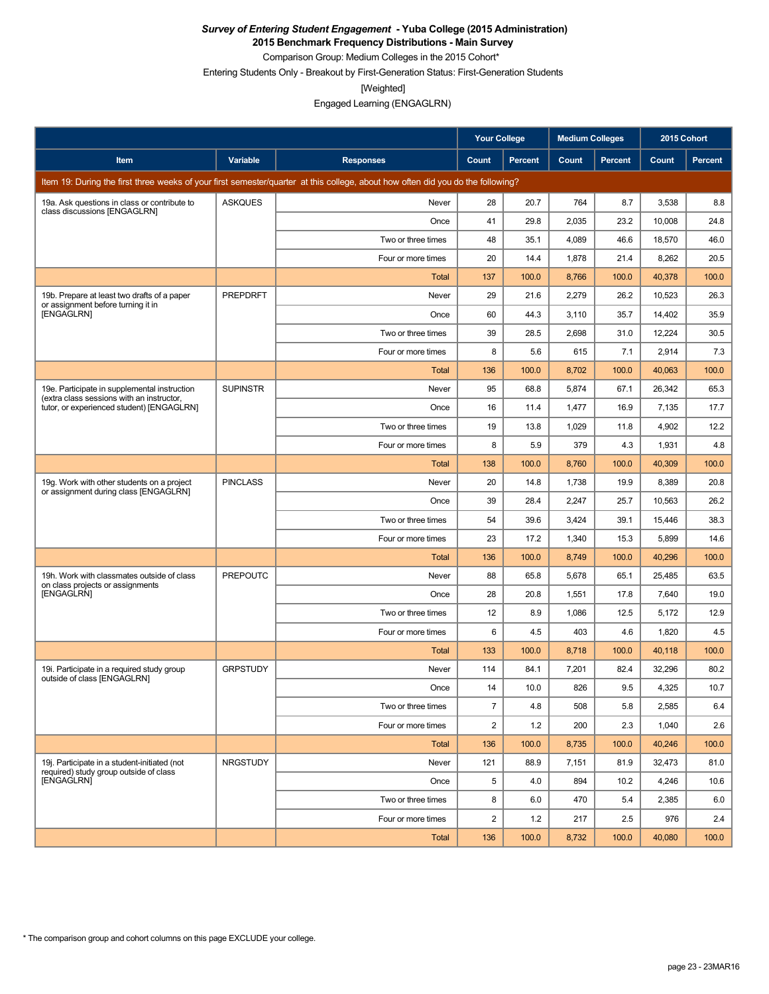**2015 Benchmark Frequency Distributions - Main Survey**

Comparison Group: Medium Colleges in the 2015 Cohort\*

Entering Students Only - Breakout by First-Generation Status: First-Generation Students

[Weighted]

|                                                                                           |                 |                                                                                                                                 | <b>Your College</b> |                | <b>Medium Colleges</b> |                | 2015 Cohort |                |
|-------------------------------------------------------------------------------------------|-----------------|---------------------------------------------------------------------------------------------------------------------------------|---------------------|----------------|------------------------|----------------|-------------|----------------|
| Item                                                                                      | Variable        | <b>Responses</b>                                                                                                                | Count               | <b>Percent</b> | Count                  | <b>Percent</b> | Count       | <b>Percent</b> |
|                                                                                           |                 | Item 19: During the first three weeks of your first semester/quarter at this college, about how often did you do the following? |                     |                |                        |                |             |                |
| 19a. Ask questions in class or contribute to<br>class discussions [ENGAGLRN]              | <b>ASKQUES</b>  | Never                                                                                                                           | 28                  | 20.7           | 764                    | 8.7            | 3,538       | 8.8            |
|                                                                                           |                 | Once                                                                                                                            | 41                  | 29.8           | 2,035                  | 23.2           | 10,008      | 24.8           |
|                                                                                           |                 | Two or three times                                                                                                              | 48                  | 35.1           | 4,089                  | 46.6           | 18,570      | 46.0           |
|                                                                                           |                 | Four or more times                                                                                                              | 20                  | 14.4           | 1,878                  | 21.4           | 8,262       | 20.5           |
|                                                                                           |                 | Total                                                                                                                           | 137                 | 100.0          | 8,766                  | 100.0          | 40,378      | 100.0          |
| 19b. Prepare at least two drafts of a paper<br>or assignment before turning it in         | <b>PREPDRFT</b> | Never                                                                                                                           | 29                  | 21.6           | 2,279                  | 26.2           | 10,523      | 26.3           |
| [ENGAGLRN]                                                                                |                 | Once                                                                                                                            | 60                  | 44.3           | 3,110                  | 35.7           | 14,402      | 35.9           |
|                                                                                           |                 | Two or three times                                                                                                              | 39                  | 28.5           | 2,698                  | 31.0           | 12,224      | 30.5           |
|                                                                                           |                 | Four or more times                                                                                                              | 8                   | 5.6            | 615                    | 7.1            | 2,914       | 7.3            |
|                                                                                           |                 | Total                                                                                                                           | 136                 | 100.0          | 8,702                  | 100.0          | 40,063      | 100.0          |
| 19e. Participate in supplemental instruction<br>(extra class sessions with an instructor, | <b>SUPINSTR</b> | Never                                                                                                                           | 95                  | 68.8           | 5,874                  | 67.1           | 26,342      | 65.3           |
| tutor, or experienced student) [ENGAGLRN]                                                 |                 | Once                                                                                                                            | 16                  | 11.4           | 1,477                  | 16.9           | 7,135       | 17.7           |
|                                                                                           |                 | Two or three times                                                                                                              | 19                  | 13.8           | 1,029                  | 11.8           | 4,902       | 12.2           |
|                                                                                           |                 | Four or more times                                                                                                              | 8                   | 5.9            | 379                    | 4.3            | 1,931       | 4.8            |
|                                                                                           |                 | Total                                                                                                                           | 138                 | 100.0          | 8,760                  | 100.0          | 40,309      | 100.0          |
| 19g. Work with other students on a project<br>or assignment during class [ENGAGLRN]       | <b>PINCLASS</b> | Never                                                                                                                           | 20                  | 14.8           | 1,738                  | 19.9           | 8,389       | 20.8           |
|                                                                                           |                 | Once                                                                                                                            | 39                  | 28.4           | 2,247                  | 25.7           | 10,563      | 26.2           |
|                                                                                           |                 | Two or three times                                                                                                              | 54                  | 39.6           | 3,424                  | 39.1           | 15,446      | 38.3           |
|                                                                                           |                 | Four or more times                                                                                                              | 23                  | 17.2           | 1,340                  | 15.3           | 5,899       | 14.6           |
|                                                                                           |                 | Total                                                                                                                           | 136                 | 100.0          | 8,749                  | 100.0          | 40,296      | 100.0          |
| 19h. Work with classmates outside of class<br>on class projects or assignments            | <b>PREPOUTC</b> | Never                                                                                                                           | 88                  | 65.8           | 5,678                  | 65.1           | 25,485      | 63.5           |
| [ENGAGLRN]                                                                                |                 | Once                                                                                                                            | 28                  | 20.8           | 1,551                  | 17.8           | 7,640       | 19.0           |
|                                                                                           |                 | Two or three times                                                                                                              | 12                  | 8.9            | 1,086                  | 12.5           | 5,172       | 12.9           |
|                                                                                           |                 | Four or more times                                                                                                              | 6                   | 4.5            | 403                    | 4.6            | 1,820       | 4.5            |
|                                                                                           |                 | Total                                                                                                                           | 133                 | 100.0          | 8,718                  | 100.0          | 40,118      | 100.0          |
| 19i. Participate in a required study group<br>outside of class [ENGAGLRN]                 | <b>GRPSTUDY</b> | Never                                                                                                                           | 114                 | 84.1           | 7,201                  | 82.4           | 32,296      | 80.2           |
|                                                                                           |                 | Once                                                                                                                            | 14                  | 10.0           | 826                    | 9.5            | 4,325       | 10.7           |
|                                                                                           |                 | Two or three times                                                                                                              | $\overline{7}$      | 4.8            | 508                    | 5.8            | 2,585       | 6.4            |
|                                                                                           |                 | Four or more times                                                                                                              | 2                   | 1.2            | 200                    | 2.3            | 1,040       | 2.6            |
|                                                                                           |                 | Total                                                                                                                           | 136                 | 100.0          | 8,735                  | 100.0          | 40,246      | 100.0          |
| 19j. Participate in a student-initiated (not<br>required) study group outside of class    | <b>NRGSTUDY</b> | Never                                                                                                                           | 121                 | 88.9           | 7,151                  | 81.9           | 32,473      | 81.0           |
| [ENGAGLRN]                                                                                |                 | Once                                                                                                                            | 5                   | 4.0            | 894                    | 10.2           | 4,246       | 10.6           |
|                                                                                           |                 | Two or three times                                                                                                              | 8                   | 6.0            | 470                    | 5.4            | 2,385       | 6.0            |
|                                                                                           |                 | Four or more times                                                                                                              | 2                   | 1.2            | 217                    | 2.5            | 976         | 2.4            |
|                                                                                           |                 | Total                                                                                                                           | 136                 | 100.0          | 8,732                  | 100.0          | 40,080      | 100.0          |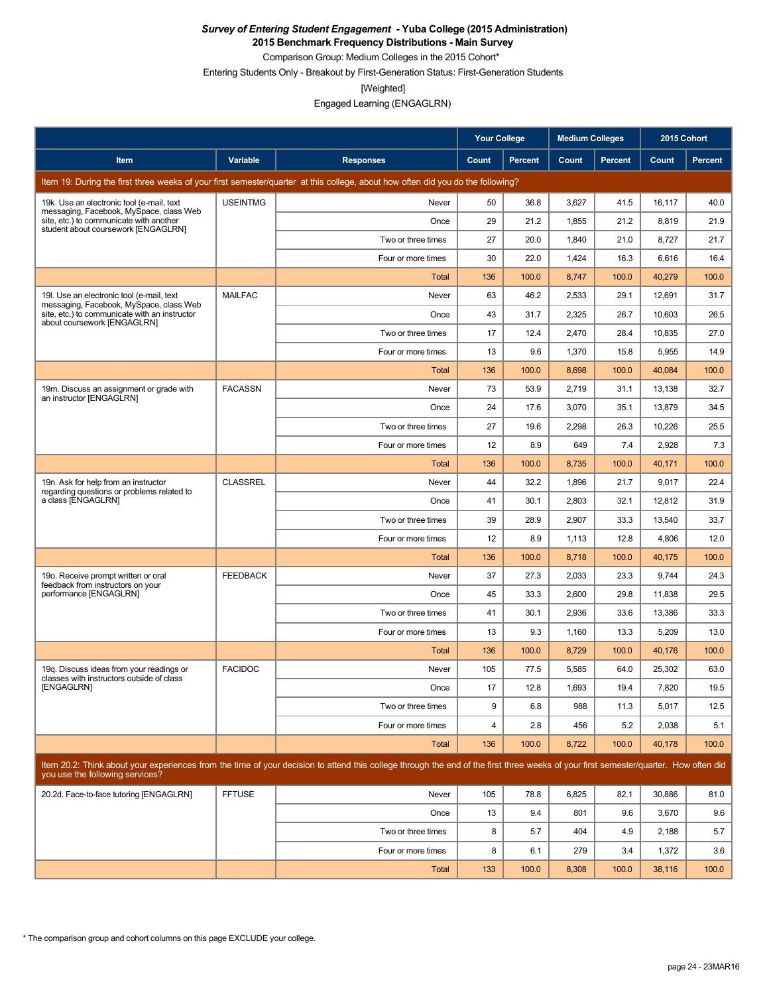**2015 Benchmark Frequency Distributions - Main Survey**

Comparison Group: Medium Colleges in the 2015 Cohort\*

Entering Students Only - Breakout by First-Generation Status: First-Generation Students

[Weighted]

|                                                                                                                           |                 |                                                                                                                                                                                      | <b>Your College</b> |                | <b>Medium Colleges</b> |                | 2015 Cohort  |         |
|---------------------------------------------------------------------------------------------------------------------------|-----------------|--------------------------------------------------------------------------------------------------------------------------------------------------------------------------------------|---------------------|----------------|------------------------|----------------|--------------|---------|
| Item                                                                                                                      | Variable        | <b>Responses</b>                                                                                                                                                                     | Count               | <b>Percent</b> | Count                  | <b>Percent</b> | <b>Count</b> | Percent |
|                                                                                                                           |                 | Item 19: During the first three weeks of your first semester/quarter at this college, about how often did you do the following?                                                      |                     |                |                        |                |              |         |
| 19k. Use an electronic tool (e-mail, text                                                                                 | <b>USEINTMG</b> | Never                                                                                                                                                                                | 50                  | 36.8           | 3,627                  | 41.5           | 16,117       | 40.0    |
| messaging, Facebook, MySpace, class Web<br>site, etc.) to communicate with another<br>student about coursework [ENGAGLRN] |                 | Once                                                                                                                                                                                 | 29                  | 21.2           | 1,855                  | 21.2           | 8,819        | 21.9    |
|                                                                                                                           |                 | Two or three times                                                                                                                                                                   | 27                  | 20.0           | 1,840                  | 21.0           | 8,727        | 21.7    |
|                                                                                                                           |                 | Four or more times                                                                                                                                                                   | 30                  | 22.0           | 1,424                  | 16.3           | 6,616        | 16.4    |
|                                                                                                                           |                 | Total                                                                                                                                                                                | 136                 | 100.0          | 8,747                  | 100.0          | 40,279       | 100.0   |
| 19. Use an electronic tool (e-mail, text<br>messaging, Facebook, MySpace, class Web                                       | <b>MAILFAC</b>  | Never                                                                                                                                                                                | 63                  | 46.2           | 2,533                  | 29.1           | 12,691       | 31.7    |
| site, etc.) to communicate with an instructor<br>about coursework [ENGAGLRN]                                              |                 | Once                                                                                                                                                                                 | 43                  | 31.7           | 2,325                  | 26.7           | 10,603       | 26.5    |
|                                                                                                                           |                 | Two or three times                                                                                                                                                                   | 17                  | 12.4           | 2,470                  | 28.4           | 10,835       | 27.0    |
|                                                                                                                           |                 | Four or more times                                                                                                                                                                   | 13                  | 9.6            | 1,370                  | 15.8           | 5,955        | 14.9    |
|                                                                                                                           |                 | <b>Total</b>                                                                                                                                                                         | 136                 | 100.0          | 8,698                  | 100.0          | 40,084       | 100.0   |
| 19m. Discuss an assignment or grade with<br>an instructor [ENGAGLRN]                                                      | <b>FACASSN</b>  | Never                                                                                                                                                                                | 73                  | 53.9           | 2,719                  | 31.1           | 13,138       | 32.7    |
|                                                                                                                           |                 | Once                                                                                                                                                                                 | 24                  | 17.6           | 3,070                  | 35.1           | 13,879       | 34.5    |
|                                                                                                                           |                 | Two or three times                                                                                                                                                                   | 27                  | 19.6           | 2,298                  | 26.3           | 10,226       | 25.5    |
|                                                                                                                           |                 | Four or more times                                                                                                                                                                   | 12                  | 8.9            | 649                    | 7.4            | 2,928        | 7.3     |
|                                                                                                                           |                 | <b>Total</b>                                                                                                                                                                         | 136                 | 100.0          | 8,735                  | 100.0          | 40,171       | 100.0   |
| 19n. Ask for help from an instructor<br>regarding questions or problems related to                                        | <b>CLASSREL</b> | Never                                                                                                                                                                                | 44                  | 32.2           | 1,896                  | 21.7           | 9,017        | 22.4    |
| a class [ENGAGLRN]                                                                                                        |                 | Once                                                                                                                                                                                 | 41                  | 30.1           | 2,803                  | 32.1           | 12,812       | 31.9    |
|                                                                                                                           |                 | Two or three times                                                                                                                                                                   | 39                  | 28.9           | 2,907                  | 33.3           | 13,540       | 33.7    |
|                                                                                                                           |                 | Four or more times                                                                                                                                                                   | 12                  | 8.9            | 1,113                  | 12.8           | 4,806        | 12.0    |
|                                                                                                                           |                 | <b>Total</b>                                                                                                                                                                         | 136                 | 100.0          | 8,718                  | 100.0          | 40,175       | 100.0   |
| 19o. Receive prompt written or oral<br>feedback from instructors on your                                                  | <b>FEEDBACK</b> | Never                                                                                                                                                                                | 37                  | 27.3           | 2,033                  | 23.3           | 9,744        | 24.3    |
| performance [ENGAGLRN]                                                                                                    |                 | Once                                                                                                                                                                                 | 45                  | 33.3           | 2,600                  | 29.8           | 11,838       | 29.5    |
|                                                                                                                           |                 | Two or three times                                                                                                                                                                   | 41                  | 30.1           | 2,936                  | 33.6           | 13,386       | 33.3    |
|                                                                                                                           |                 | Four or more times                                                                                                                                                                   | 13                  | 9.3            | 1,160                  | 13.3           | 5,209        | 13.0    |
|                                                                                                                           |                 | <b>Total</b>                                                                                                                                                                         | 136                 | 100.0          | 8,729                  | 100.0          | 40,176       | 100.0   |
| 19g. Discuss ideas from your readings or<br>classes with instructors outside of class                                     | <b>FACIDOC</b>  | Never                                                                                                                                                                                | 105                 | 77.5           | 5,585                  | 64.0           | 25,302       | 63.0    |
| [ENGAGLRN]                                                                                                                |                 | Once                                                                                                                                                                                 | 17                  | 12.8           | 1,693                  | 19.4           | 7,820        | 19.5    |
|                                                                                                                           |                 | Two or three times                                                                                                                                                                   | 9                   | 6.8            | 988                    | 11.3           | 5,017        | 12.5    |
|                                                                                                                           |                 | Four or more times                                                                                                                                                                   | $\overline{4}$      | 2.8            | 456                    | 5.2            | 2,038        | 5.1     |
|                                                                                                                           |                 | Total                                                                                                                                                                                | 136                 | 100.0          | 8,722                  | 100.0          | 40,178       | 100.0   |
| you use the following services?                                                                                           |                 | Item 20.2: Think about your experiences from the time of your decision to attend this college through the end of the first three weeks of your first semester/quarter. How often did |                     |                |                        |                |              |         |
| 20.2d. Face-to-face tutoring [ENGAGLRN]                                                                                   | <b>FFTUSE</b>   | Never                                                                                                                                                                                | 105                 | 78.8           | 6,825                  | 82.1           | 30,886       | 81.0    |
|                                                                                                                           |                 | Once                                                                                                                                                                                 | 13                  | 9.4            | 801                    | 9.6            | 3,670        | 9.6     |
|                                                                                                                           |                 | Two or three times                                                                                                                                                                   | 8                   | 5.7            | 404                    | 4.9            | 2,188        | 5.7     |
|                                                                                                                           |                 | Four or more times                                                                                                                                                                   | 8                   | 6.1            | 279                    | 3.4            | 1,372        | 3.6     |
|                                                                                                                           |                 | Total                                                                                                                                                                                | 133                 | 100.0          | 8,308                  | 100.0          | 38,116       | 100.0   |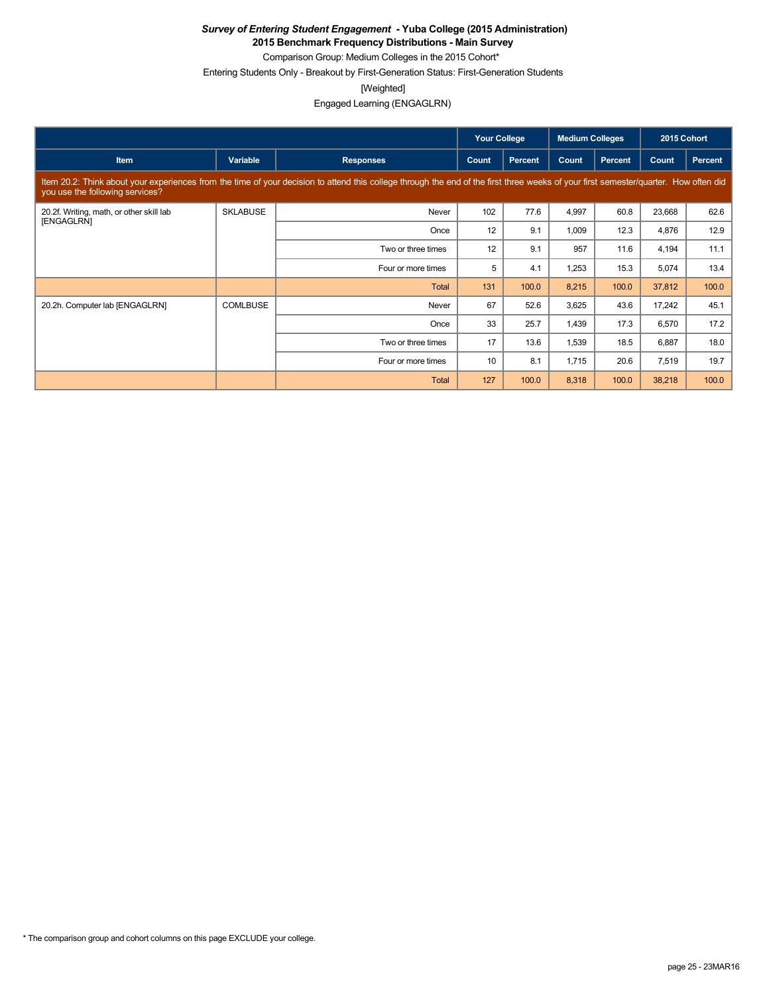**2015 Benchmark Frequency Distributions - Main Survey**

Comparison Group: Medium Colleges in the 2015 Cohort\* Entering Students Only - Breakout by First-Generation Status: First-Generation Students

[Weighted]

|                                                        |                 |                                                                                                                                                                                      | <b>Your College</b> |                | <b>Medium Colleges</b> |         | 2015 Cohort |                |
|--------------------------------------------------------|-----------------|--------------------------------------------------------------------------------------------------------------------------------------------------------------------------------------|---------------------|----------------|------------------------|---------|-------------|----------------|
| <b>Item</b>                                            | Variable        | <b>Responses</b>                                                                                                                                                                     | Count               | <b>Percent</b> | Count                  | Percent | Count       | <b>Percent</b> |
| you use the following services?                        |                 | Item 20.2: Think about your experiences from the time of your decision to attend this college through the end of the first three weeks of your first semester/quarter. How often did |                     |                |                        |         |             |                |
| 20.2f. Writing, math, or other skill lab<br>[ENGAGLRN] | <b>SKLABUSE</b> | Never                                                                                                                                                                                | 102                 | 77.6           | 4,997                  | 60.8    | 23,668      | 62.6           |
|                                                        |                 | Once                                                                                                                                                                                 | 12                  | 9.1            | 1,009                  | 12.3    | 4,876       | 12.9           |
|                                                        |                 | Two or three times                                                                                                                                                                   | 12                  | 9.1            | 957                    | 11.6    | 4,194       | 11.1           |
|                                                        |                 | Four or more times                                                                                                                                                                   | 5                   | 4.1            | 1,253                  | 15.3    | 5,074       | 13.4           |
|                                                        |                 | Total                                                                                                                                                                                | 131                 | 100.0          | 8,215                  | 100.0   | 37,812      | 100.0          |
| 20.2h. Computer lab [ENGAGLRN]                         | <b>COMLBUSE</b> | Never                                                                                                                                                                                | 67                  | 52.6           | 3,625                  | 43.6    | 17,242      | 45.1           |
|                                                        |                 | Once                                                                                                                                                                                 | 33                  | 25.7           | 1,439                  | 17.3    | 6,570       | 17.2           |
|                                                        |                 | Two or three times                                                                                                                                                                   | 17                  | 13.6           | 1,539                  | 18.5    | 6,887       | 18.0           |
|                                                        |                 | Four or more times                                                                                                                                                                   | 10 <sup>1</sup>     | 8.1            | 1,715                  | 20.6    | 7,519       | 19.7           |
|                                                        |                 | <b>Total</b>                                                                                                                                                                         | 127                 | 100.0          | 8,318                  | 100.0   | 38,218      | 100.0          |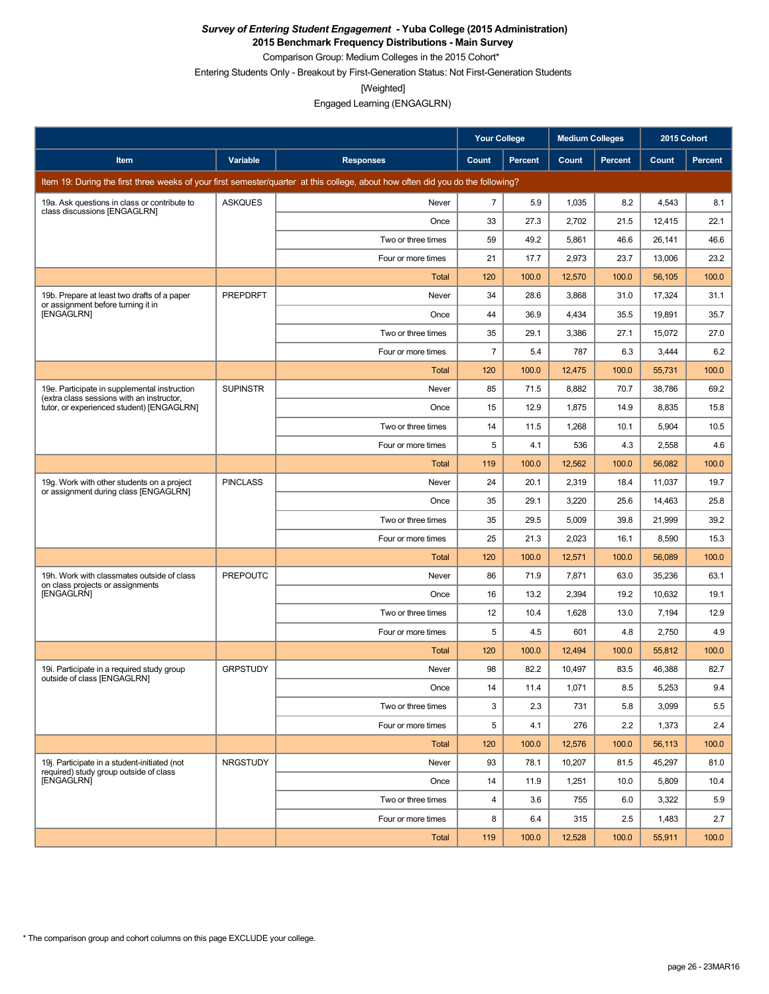**2015 Benchmark Frequency Distributions - Main Survey**

Comparison Group: Medium Colleges in the 2015 Cohort\*

Entering Students Only - Breakout by First-Generation Status: Not First-Generation Students

[Weighted]

|                                                                                           |                 |                                                                                                                                 | Your College   |                | <b>Medium Colleges</b> |                | 2015 Cohort |         |
|-------------------------------------------------------------------------------------------|-----------------|---------------------------------------------------------------------------------------------------------------------------------|----------------|----------------|------------------------|----------------|-------------|---------|
| Item                                                                                      | Variable        | <b>Responses</b>                                                                                                                | Count          | <b>Percent</b> | Count                  | <b>Percent</b> | Count       | Percent |
|                                                                                           |                 | Item 19: During the first three weeks of your first semester/quarter at this college, about how often did you do the following? |                |                |                        |                |             |         |
| 19a. Ask questions in class or contribute to<br>class discussions [ENGAGLRN]              | <b>ASKQUES</b>  | Never                                                                                                                           | $\overline{7}$ | 5.9            | 1,035                  | 8.2            | 4,543       | 8.1     |
|                                                                                           |                 | Once                                                                                                                            | 33             | 27.3           | 2,702                  | 21.5           | 12,415      | 22.1    |
|                                                                                           |                 | Two or three times                                                                                                              | 59             | 49.2           | 5,861                  | 46.6           | 26,141      | 46.6    |
|                                                                                           |                 | Four or more times                                                                                                              | 21             | 17.7           | 2,973                  | 23.7           | 13,006      | 23.2    |
|                                                                                           |                 | Total                                                                                                                           | 120            | 100.0          | 12,570                 | 100.0          | 56,105      | 100.0   |
| 19b. Prepare at least two drafts of a paper<br>or assignment before turning it in         | <b>PREPDRFT</b> | Never                                                                                                                           | 34             | 28.6           | 3,868                  | 31.0           | 17,324      | 31.1    |
| [ENGAGLRN]                                                                                |                 | Once                                                                                                                            | 44             | 36.9           | 4,434                  | 35.5           | 19,891      | 35.7    |
|                                                                                           |                 | Two or three times                                                                                                              | 35             | 29.1           | 3,386                  | 27.1           | 15,072      | 27.0    |
|                                                                                           |                 | Four or more times                                                                                                              | $\overline{7}$ | 5.4            | 787                    | 6.3            | 3,444       | 6.2     |
|                                                                                           |                 | <b>Total</b>                                                                                                                    | 120            | 100.0          | 12,475                 | 100.0          | 55,731      | 100.0   |
| 19e. Participate in supplemental instruction<br>(extra class sessions with an instructor. | <b>SUPINSTR</b> | Never                                                                                                                           | 85             | 71.5           | 8,882                  | 70.7           | 38,786      | 69.2    |
| tutor, or experienced student) [ENGAGLRN]                                                 |                 | Once                                                                                                                            | 15             | 12.9           | 1,875                  | 14.9           | 8,835       | 15.8    |
|                                                                                           |                 | Two or three times                                                                                                              | 14             | 11.5           | 1,268                  | 10.1           | 5,904       | 10.5    |
|                                                                                           |                 | Four or more times                                                                                                              | 5              | 4.1            | 536                    | 4.3            | 2,558       | 4.6     |
|                                                                                           |                 | <b>Total</b>                                                                                                                    | 119            | 100.0          | 12,562                 | 100.0          | 56,082      | 100.0   |
| 19g. Work with other students on a project<br>or assignment during class [ENGAGLRN]       | <b>PINCLASS</b> | Never                                                                                                                           | 24             | 20.1           | 2,319                  | 18.4           | 11,037      | 19.7    |
|                                                                                           |                 | Once                                                                                                                            | 35             | 29.1           | 3,220                  | 25.6           | 14,463      | 25.8    |
|                                                                                           |                 | Two or three times                                                                                                              | 35             | 29.5           | 5,009                  | 39.8           | 21,999      | 39.2    |
|                                                                                           |                 | Four or more times                                                                                                              | 25             | 21.3           | 2,023                  | 16.1           | 8,590       | 15.3    |
|                                                                                           |                 | Total                                                                                                                           | 120            | 100.0          | 12,571                 | 100.0          | 56,089      | 100.0   |
| 19h. Work with classmates outside of class<br>on class projects or assignments            | <b>PREPOUTC</b> | Never                                                                                                                           | 86             | 71.9           | 7,871                  | 63.0           | 35,236      | 63.1    |
| [ENGAGLRN]                                                                                |                 | Once                                                                                                                            | 16             | 13.2           | 2,394                  | 19.2           | 10,632      | 19.1    |
|                                                                                           |                 | Two or three times                                                                                                              | 12             | 10.4           | 1,628                  | 13.0           | 7,194       | 12.9    |
|                                                                                           |                 | Four or more times                                                                                                              | 5              | 4.5            | 601                    | 4.8            | 2,750       | 4.9     |
|                                                                                           |                 | Total                                                                                                                           | 120            | 100.0          | 12,494                 | 100.0          | 55,812      | 100.0   |
| 19i. Participate in a required study group<br>outside of class [ENGAGLRN]                 | <b>GRPSTUDY</b> | Never                                                                                                                           | 98             | 82.2           | 10,497                 | 83.5           | 46.388      | 82.7    |
|                                                                                           |                 | Once                                                                                                                            | 14             | 11.4           | 1,071                  | 8.5            | 5,253       | 9.4     |
|                                                                                           |                 | Two or three times                                                                                                              | 3              | 2.3            | 731                    | 5.8            | 3,099       | 5.5     |
|                                                                                           |                 | Four or more times                                                                                                              | 5              | 4.1            | 276                    | 2.2            | 1,373       | 2.4     |
|                                                                                           |                 | Total                                                                                                                           | 120            | 100.0          | 12,576                 | 100.0          | 56,113      | 100.0   |
| 19i. Participate in a student-initiated (not<br>required) study group outside of class    | <b>NRGSTUDY</b> | Never                                                                                                                           | 93             | 78.1           | 10,207                 | 81.5           | 45,297      | 81.0    |
| [ENGAGLRN]                                                                                |                 | Once                                                                                                                            | 14             | 11.9           | 1,251                  | 10.0           | 5,809       | 10.4    |
|                                                                                           |                 | Two or three times                                                                                                              | 4              | 3.6            | 755                    | 6.0            | 3,322       | 5.9     |
|                                                                                           |                 | Four or more times                                                                                                              | 8              | 6.4            | 315                    | 2.5            | 1,483       | 2.7     |
|                                                                                           |                 | <b>Total</b>                                                                                                                    | 119            | 100.0          | 12,528                 | 100.0          | 55,911      | 100.0   |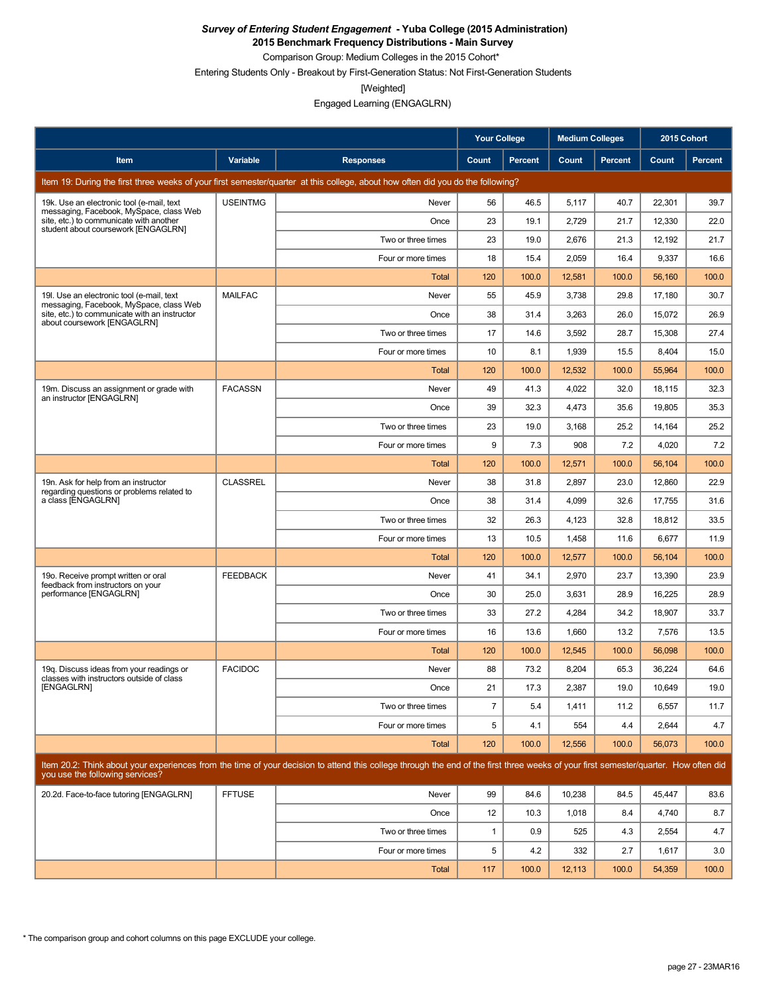**2015 Benchmark Frequency Distributions - Main Survey**

Comparison Group: Medium Colleges in the 2015 Cohort\*

Entering Students Only - Breakout by First-Generation Status: Not First-Generation Students

[Weighted]

|                                                                                                                           |                 |                                                                                                                                                                                      | <b>Your College</b> |                | <b>Medium Colleges</b> |                | 2015 Cohort |         |
|---------------------------------------------------------------------------------------------------------------------------|-----------------|--------------------------------------------------------------------------------------------------------------------------------------------------------------------------------------|---------------------|----------------|------------------------|----------------|-------------|---------|
| Item                                                                                                                      | Variable        | <b>Responses</b>                                                                                                                                                                     | Count               | <b>Percent</b> | Count                  | <b>Percent</b> | Count       | Percent |
|                                                                                                                           |                 | Item 19: During the first three weeks of your first semester/quarter at this college, about how often did you do the following?                                                      |                     |                |                        |                |             |         |
| 19k. Use an electronic tool (e-mail, text                                                                                 | <b>USEINTMG</b> | Never                                                                                                                                                                                | 56                  | 46.5           | 5,117                  | 40.7           | 22,301      | 39.7    |
| messaging, Facebook, MySpace, class Web<br>site, etc.) to communicate with another<br>student about coursework [ENGAGLRN] |                 | Once                                                                                                                                                                                 | 23                  | 19.1           | 2,729                  | 21.7           | 12,330      | 22.0    |
|                                                                                                                           |                 | Two or three times                                                                                                                                                                   | 23                  | 19.0           | 2,676                  | 21.3           | 12,192      | 21.7    |
|                                                                                                                           |                 | Four or more times                                                                                                                                                                   | 18                  | 15.4           | 2,059                  | 16.4           | 9,337       | 16.6    |
|                                                                                                                           |                 | Total                                                                                                                                                                                | 120                 | 100.0          | 12,581                 | 100.0          | 56,160      | 100.0   |
| 19I. Use an electronic tool (e-mail, text<br>messaging, Facebook, MySpace, class Web                                      | <b>MAILFAC</b>  | Never                                                                                                                                                                                | 55                  | 45.9           | 3,738                  | 29.8           | 17,180      | 30.7    |
| site, etc.) to communicate with an instructor<br>about coursework [ENGAGLRN]                                              |                 | Once                                                                                                                                                                                 | 38                  | 31.4           | 3,263                  | 26.0           | 15,072      | 26.9    |
|                                                                                                                           |                 | Two or three times                                                                                                                                                                   | 17                  | 14.6           | 3,592                  | 28.7           | 15,308      | 27.4    |
|                                                                                                                           |                 | Four or more times                                                                                                                                                                   | 10                  | 8.1            | 1,939                  | 15.5           | 8,404       | 15.0    |
|                                                                                                                           |                 | Total                                                                                                                                                                                | 120                 | 100.0          | 12,532                 | 100.0          | 55,964      | 100.0   |
| 19m. Discuss an assignment or grade with<br>an instructor [ENGAGLRN]                                                      | <b>FACASSN</b>  | Never                                                                                                                                                                                | 49                  | 41.3           | 4,022                  | 32.0           | 18,115      | 32.3    |
|                                                                                                                           |                 | Once                                                                                                                                                                                 | 39                  | 32.3           | 4,473                  | 35.6           | 19,805      | 35.3    |
|                                                                                                                           |                 | Two or three times                                                                                                                                                                   | 23                  | 19.0           | 3,168                  | 25.2           | 14,164      | 25.2    |
|                                                                                                                           |                 | Four or more times                                                                                                                                                                   | 9                   | 7.3            | 908                    | 7.2            | 4,020       | 7.2     |
|                                                                                                                           |                 | Total                                                                                                                                                                                | 120                 | 100.0          | 12,571                 | 100.0          | 56,104      | 100.0   |
| 19n. Ask for help from an instructor<br>regarding questions or problems related to                                        | <b>CLASSREL</b> | Never                                                                                                                                                                                | 38                  | 31.8           | 2,897                  | 23.0           | 12,860      | 22.9    |
| a class [ENGAGLRN]                                                                                                        |                 | Once                                                                                                                                                                                 | 38                  | 31.4           | 4,099                  | 32.6           | 17,755      | 31.6    |
|                                                                                                                           |                 | Two or three times                                                                                                                                                                   | 32                  | 26.3           | 4,123                  | 32.8           | 18,812      | 33.5    |
|                                                                                                                           |                 | Four or more times                                                                                                                                                                   | 13                  | 10.5           | 1,458                  | 11.6           | 6,677       | 11.9    |
|                                                                                                                           |                 | Total                                                                                                                                                                                | 120                 | 100.0          | 12,577                 | 100.0          | 56,104      | 100.0   |
| 19o. Receive prompt written or oral<br>feedback from instructors on your                                                  | <b>FEEDBACK</b> | Never                                                                                                                                                                                | 41                  | 34.1           | 2,970                  | 23.7           | 13,390      | 23.9    |
| performance [ENGAGLRN]                                                                                                    |                 | Once                                                                                                                                                                                 | 30                  | 25.0           | 3.631                  | 28.9           | 16,225      | 28.9    |
|                                                                                                                           |                 | Two or three times                                                                                                                                                                   | 33                  | 27.2           | 4,284                  | 34.2           | 18,907      | 33.7    |
|                                                                                                                           |                 | Four or more times                                                                                                                                                                   | 16                  | 13.6           | 1,660                  | 13.2           | 7,576       | 13.5    |
|                                                                                                                           |                 | Total                                                                                                                                                                                | 120                 | 100.0          | 12,545                 | 100.0          | 56,098      | 100.0   |
| 19g. Discuss ideas from your readings or<br>classes with instructors outside of class                                     | <b>FACIDOC</b>  | Never                                                                                                                                                                                | 88                  | 73.2           | 8,204                  | 65.3           | 36,224      | 64.6    |
| [ENGAGLRN]                                                                                                                |                 | Once                                                                                                                                                                                 | 21                  | 17.3           | 2,387                  | 19.0           | 10,649      | 19.0    |
|                                                                                                                           |                 | Two or three times                                                                                                                                                                   | $\overline{7}$      | 5.4            | 1,411                  | 11.2           | 6,557       | 11.7    |
|                                                                                                                           |                 | Four or more times                                                                                                                                                                   | 5                   | 4.1            | 554                    | 4.4            | 2,644       | 4.7     |
|                                                                                                                           |                 | Total                                                                                                                                                                                | 120                 | 100.0          | 12,556                 | 100.0          | 56,073      | 100.0   |
| you use the following services?                                                                                           |                 | Item 20.2: Think about your experiences from the time of your decision to attend this college through the end of the first three weeks of your first semester/quarter. How often did |                     |                |                        |                |             |         |
| 20.2d. Face-to-face tutoring [ENGAGLRN]                                                                                   | <b>FFTUSE</b>   | Never                                                                                                                                                                                | 99                  | 84.6           | 10,238                 | 84.5           | 45,447      | 83.6    |
|                                                                                                                           |                 | Once                                                                                                                                                                                 | 12                  | 10.3           | 1,018                  | 8.4            | 4,740       | 8.7     |
|                                                                                                                           |                 | Two or three times                                                                                                                                                                   | $\mathbf{1}$        | 0.9            | 525                    | 4.3            | 2,554       | 4.7     |
|                                                                                                                           |                 | Four or more times                                                                                                                                                                   | 5                   | 4.2            | 332                    | 2.7            | 1,617       | 3.0     |
|                                                                                                                           |                 | Total                                                                                                                                                                                | 117                 | 100.0          | 12,113                 | 100.0          | 54,359      | 100.0   |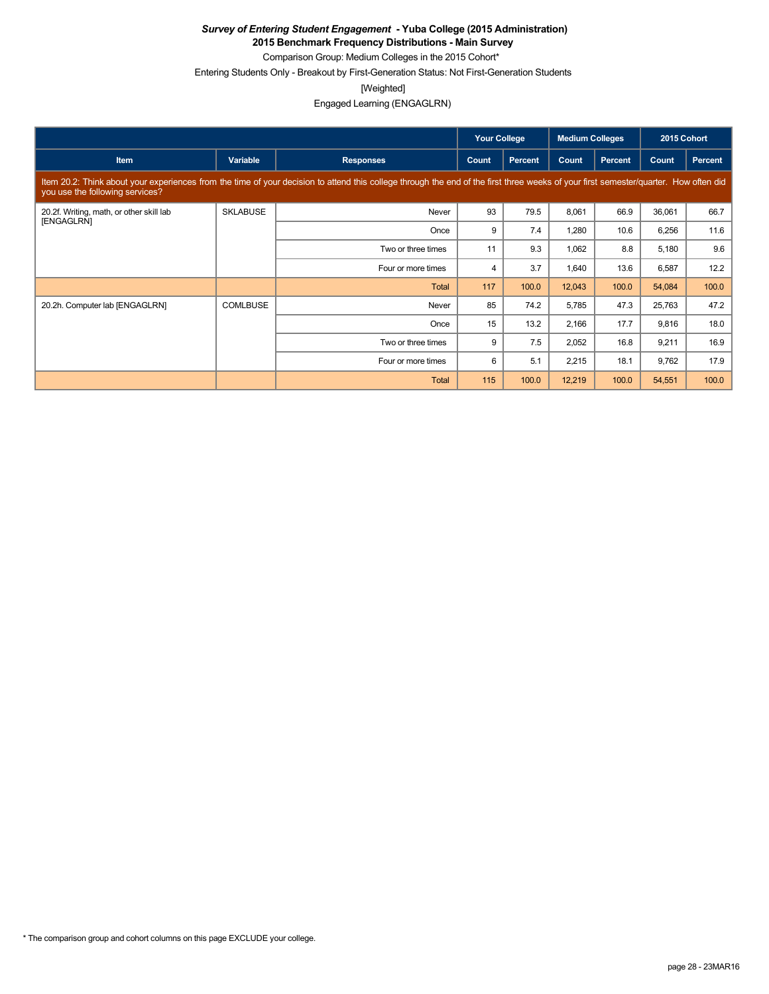**2015 Benchmark Frequency Distributions - Main Survey**

Comparison Group: Medium Colleges in the 2015 Cohort\* Entering Students Only - Breakout by First-Generation Status: Not First-Generation Students

[Weighted]

Engaged Learning (ENGAGLRN)

|                                                        |                 |                                                                                                                                                                                      | <b>Your College</b> |                | <b>Medium Colleges</b> |         | 2015 Cohort |                |
|--------------------------------------------------------|-----------------|--------------------------------------------------------------------------------------------------------------------------------------------------------------------------------------|---------------------|----------------|------------------------|---------|-------------|----------------|
| <b>Item</b>                                            | Variable        | <b>Responses</b>                                                                                                                                                                     | Count               | <b>Percent</b> | Count                  | Percent | Count       | <b>Percent</b> |
| you use the following services?                        |                 | Item 20.2: Think about your experiences from the time of your decision to attend this college through the end of the first three weeks of your first semester/quarter. How often did |                     |                |                        |         |             |                |
| 20.2f. Writing, math, or other skill lab<br>[ENGAGLRN] | <b>SKLABUSE</b> | Never                                                                                                                                                                                | 93                  | 79.5           | 8,061                  | 66.9    | 36,061      | 66.7           |
|                                                        |                 | Once                                                                                                                                                                                 | 9                   | 7.4            | 1,280                  | 10.6    | 6,256       | 11.6           |
|                                                        |                 | Two or three times                                                                                                                                                                   | 11                  | 9.3            | 1,062                  | 8.8     | 5,180       | 9.6            |
|                                                        |                 | Four or more times                                                                                                                                                                   | $\overline{4}$      | 3.7            | 1,640                  | 13.6    | 6,587       | 12.2           |
|                                                        |                 | Total                                                                                                                                                                                | 117                 | 100.0          | 12,043                 | 100.0   | 54,084      | 100.0          |
| 20.2h. Computer lab [ENGAGLRN]                         | <b>COMLBUSE</b> | Never                                                                                                                                                                                | 85                  | 74.2           | 5,785                  | 47.3    | 25,763      | 47.2           |
|                                                        |                 | Once                                                                                                                                                                                 | 15                  | 13.2           | 2,166                  | 17.7    | 9,816       | 18.0           |
|                                                        |                 | Two or three times                                                                                                                                                                   | 9                   | 7.5            | 2,052                  | 16.8    | 9,211       | 16.9           |
|                                                        |                 | Four or more times                                                                                                                                                                   | 6                   | 5.1            | 2,215                  | 18.1    | 9,762       | 17.9           |
|                                                        |                 | <b>Total</b>                                                                                                                                                                         | 115                 | 100.0          | 12,219                 | 100.0   | 54,551      | 100.0          |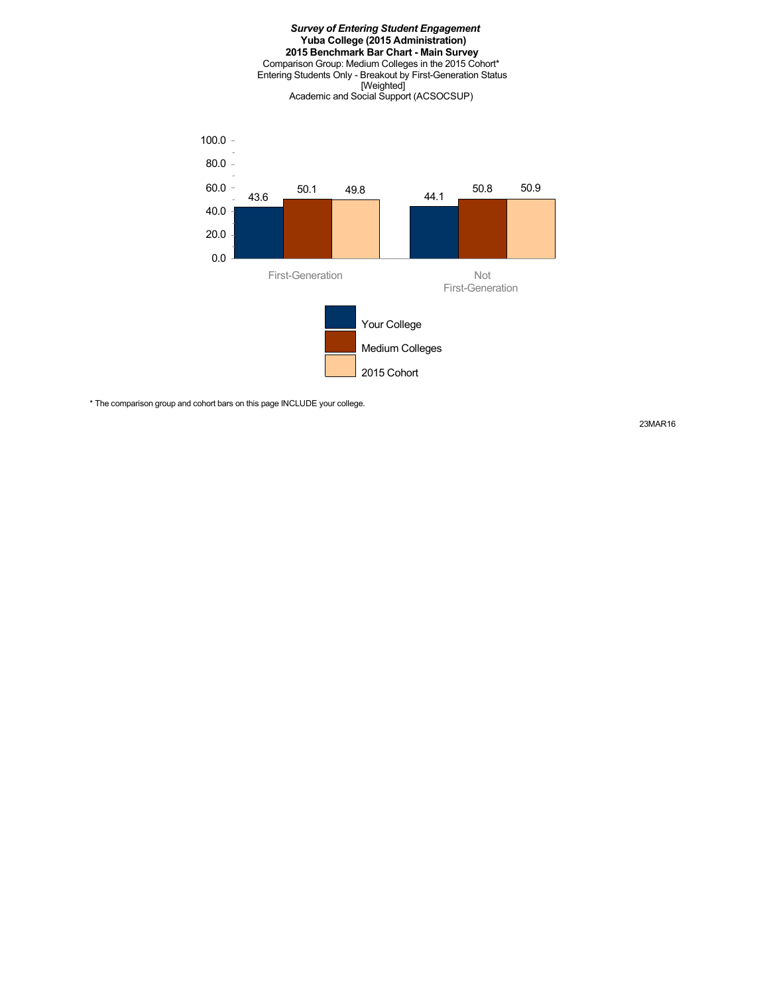#### *Survey of Entering Student Engagement* **Yuba College (2015 Administration) 2015 Benchmark Bar Chart - Main Survey** Comparison Group: Medium Colleges in the 2015 Cohort\* Entering Students Only - Breakout by First-Generation Status [Weighted] Academic and Social Support (ACSOCSUP)



\* The comparison group and cohort bars on this page INCLUDE your college.

23MAR16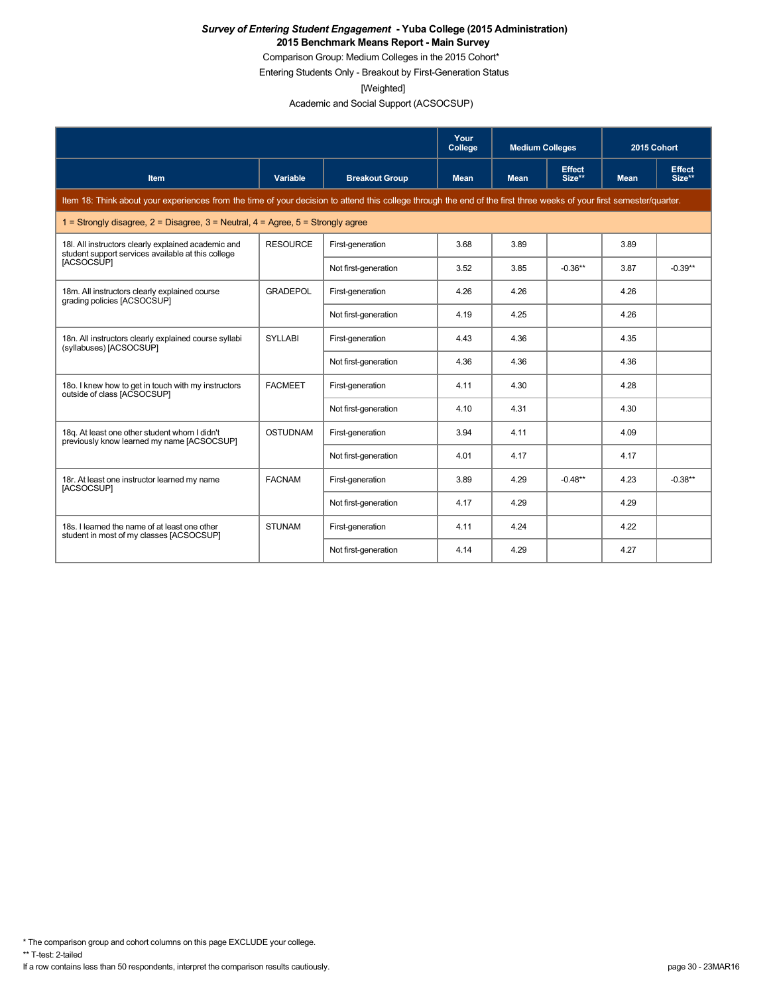Comparison Group: Medium Colleges in the 2015 Cohort\*

Entering Students Only - Breakout by First-Generation Status

[Weighted]

Academic and Social Support (ACSOCSUP)

|                                                                                                                                                                      |                 |                       | Your<br>College | <b>Medium Colleges</b> |                         | 2015 Cohort |                         |
|----------------------------------------------------------------------------------------------------------------------------------------------------------------------|-----------------|-----------------------|-----------------|------------------------|-------------------------|-------------|-------------------------|
| Item                                                                                                                                                                 | Variable        | <b>Breakout Group</b> | <b>Mean</b>     | <b>Mean</b>            | <b>Effect</b><br>Size** | <b>Mean</b> | <b>Effect</b><br>Size** |
| Item 18: Think about your experiences from the time of your decision to attend this college through the end of the first three weeks of your first semester/quarter. |                 |                       |                 |                        |                         |             |                         |
| 1 = Strongly disagree, $2$ = Disagree, $3$ = Neutral, $4$ = Agree, $5$ = Strongly agree                                                                              |                 |                       |                 |                        |                         |             |                         |
| 18I. All instructors clearly explained academic and<br>student support services available at this college                                                            | <b>RESOURCE</b> | First-generation      | 3.68            | 3.89                   |                         | 3.89        |                         |
| [ACSOCSUP]                                                                                                                                                           |                 | Not first-generation  | 3.52            | 3.85                   | $-0.36**$               | 3.87        | $-0.39**$               |
| 18m. All instructors clearly explained course<br>grading policies [ACSOCSUP]                                                                                         | <b>GRADEPOL</b> | First-generation      | 4.26            | 4.26                   |                         | 4.26        |                         |
|                                                                                                                                                                      |                 | Not first-generation  | 4.19            | 4.25                   |                         | 4.26        |                         |
| 18n. All instructors clearly explained course syllabi<br>(syllabuses) [ACSOCSUP]                                                                                     | <b>SYLLABI</b>  | First-generation      | 4.43            | 4.36                   |                         | 4.35        |                         |
|                                                                                                                                                                      |                 | Not first-generation  | 4.36            | 4.36                   |                         | 4.36        |                         |
| 18o. I knew how to get in touch with my instructors<br>outside of class [ACSOCSUP]                                                                                   | <b>FACMEET</b>  | First-generation      | 4.11            | 4.30                   |                         | 4.28        |                         |
|                                                                                                                                                                      |                 | Not first-generation  | 4.10            | 4.31                   |                         | 4.30        |                         |
| 18g. At least one other student whom I didn't<br>previously know learned my name [ACSOCSUP]                                                                          | <b>OSTUDNAM</b> | First-generation      | 3.94            | 4.11                   |                         | 4.09        |                         |
|                                                                                                                                                                      |                 | Not first-generation  | 4.01            | 4.17                   |                         | 4.17        |                         |
| 18r. At least one instructor learned my name<br>[ACSOCSUP]                                                                                                           | <b>FACNAM</b>   | First-generation      | 3.89            | 4.29                   | $-0.48**$               | 4.23        | $-0.38**$               |
|                                                                                                                                                                      |                 | Not first-generation  | 4.17            | 4.29                   |                         | 4.29        |                         |
| 18s. I learned the name of at least one other<br>student in most of my classes [ACSOCSUP]                                                                            | <b>STUNAM</b>   | First-generation      | 4.11            | 4.24                   |                         | 4.22        |                         |
|                                                                                                                                                                      |                 | Not first-generation  | 4.14            | 4.29                   |                         | 4.27        |                         |

\* The comparison group and cohort columns on this page EXCLUDE your college.

\*\* T-test: 2-tailed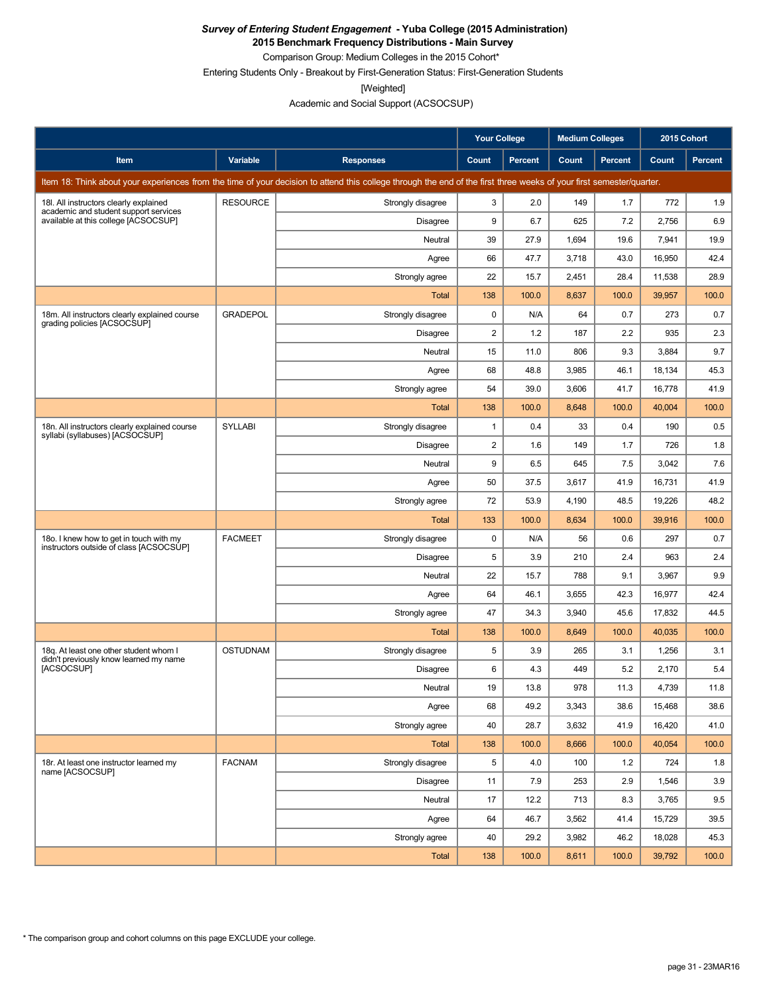**2015 Benchmark Frequency Distributions - Main Survey**

Comparison Group: Medium Colleges in the 2015 Cohort\*

Entering Students Only - Breakout by First-Generation Status: First-Generation Students

[Weighted]

Academic and Social Support (ACSOCSUP)

|                                                                                                                                                                      |                 |                   | Your College            |                | <b>Medium Colleges</b> |         | 2015 Cohort |                |
|----------------------------------------------------------------------------------------------------------------------------------------------------------------------|-----------------|-------------------|-------------------------|----------------|------------------------|---------|-------------|----------------|
| Item                                                                                                                                                                 | Variable        | <b>Responses</b>  | Count                   | <b>Percent</b> | Count                  | Percent | Count       | <b>Percent</b> |
| Item 18: Think about your experiences from the time of your decision to attend this college through the end of the first three weeks of your first semester/quarter. |                 |                   |                         |                |                        |         |             |                |
| 18I. All instructors clearly explained                                                                                                                               | <b>RESOURCE</b> | Strongly disagree | 3                       | 2.0            | 149                    | 1.7     | 772         | 1.9            |
| academic and student support services<br>available at this college [ACSOCSUP]                                                                                        |                 | <b>Disagree</b>   | 9                       | 6.7            | 625                    | 7.2     | 2,756       | 6.9            |
|                                                                                                                                                                      |                 | Neutral           | 39                      | 27.9           | 1,694                  | 19.6    | 7,941       | 19.9           |
|                                                                                                                                                                      |                 | Agree             | 66                      | 47.7           | 3,718                  | 43.0    | 16,950      | 42.4           |
|                                                                                                                                                                      |                 | Strongly agree    | 22                      | 15.7           | 2,451                  | 28.4    | 11,538      | 28.9           |
|                                                                                                                                                                      |                 | <b>Total</b>      | 138                     | 100.0          | 8,637                  | 100.0   | 39,957      | 100.0          |
| 18m. All instructors clearly explained course<br>grading policies [ACSOCSUP]                                                                                         | <b>GRADEPOL</b> | Strongly disagree | 0                       | N/A            | 64                     | 0.7     | 273         | 0.7            |
|                                                                                                                                                                      |                 | <b>Disagree</b>   | $\overline{\mathbf{c}}$ | 1.2            | 187                    | 2.2     | 935         | 2.3            |
|                                                                                                                                                                      |                 | Neutral           | 15                      | 11.0           | 806                    | 9.3     | 3,884       | 9.7            |
|                                                                                                                                                                      |                 | Agree             | 68                      | 48.8           | 3,985                  | 46.1    | 18,134      | 45.3           |
|                                                                                                                                                                      |                 | Strongly agree    | 54                      | 39.0           | 3,606                  | 41.7    | 16,778      | 41.9           |
|                                                                                                                                                                      |                 | Total             | 138                     | 100.0          | 8,648                  | 100.0   | 40,004      | 100.0          |
| 18n. All instructors clearly explained course<br>syllabi (syllabuses) [ACSOCSUP]                                                                                     | <b>SYLLABI</b>  | Strongly disagree | 1                       | 0.4            | 33                     | 0.4     | 190         | 0.5            |
|                                                                                                                                                                      |                 | <b>Disagree</b>   | 2                       | 1.6            | 149                    | 1.7     | 726         | 1.8            |
|                                                                                                                                                                      |                 | Neutral           | 9                       | 6.5            | 645                    | 7.5     | 3,042       | 7.6            |
|                                                                                                                                                                      |                 | Agree             | 50                      | 37.5           | 3,617                  | 41.9    | 16,731      | 41.9           |
|                                                                                                                                                                      |                 | Strongly agree    | 72                      | 53.9           | 4,190                  | 48.5    | 19,226      | 48.2           |
|                                                                                                                                                                      |                 | Total             | 133                     | 100.0          | 8,634                  | 100.0   | 39,916      | 100.0          |
| 180. I knew how to get in touch with my<br>instructors outside of class [ACSOCSUP]                                                                                   | <b>FACMEET</b>  | Strongly disagree | 0                       | N/A            | 56                     | 0.6     | 297         | 0.7            |
|                                                                                                                                                                      |                 | <b>Disagree</b>   | 5                       | 3.9            | 210                    | 2.4     | 963         | 2.4            |
|                                                                                                                                                                      |                 | Neutral           | 22                      | 15.7           | 788                    | 9.1     | 3,967       | 9.9            |
|                                                                                                                                                                      |                 | Agree             | 64                      | 46.1           | 3,655                  | 42.3    | 16,977      | 42.4           |
|                                                                                                                                                                      |                 | Strongly agree    | 47                      | 34.3           | 3,940                  | 45.6    | 17,832      | 44.5           |
|                                                                                                                                                                      |                 | Total             | 138                     | 100.0          | 8,649                  | 100.0   | 40,035      | 100.0          |
| 18q. At least one other student whom I<br>didn't previously know learned my name                                                                                     | <b>OSTUDNAM</b> | Strongly disagree | 5                       | 3.9            | 265                    | 3.1     | 1,256       | 3.1            |
| [ACSOCSUP]                                                                                                                                                           |                 | Disagree          | 6                       | 4.3            | 449                    | 5.2     | 2,170       | 5.4            |
|                                                                                                                                                                      |                 | Neutral           | 19                      | 13.8           | 978                    | 11.3    | 4,739       | 11.8           |
|                                                                                                                                                                      |                 | Agree             | 68                      | 49.2           | 3,343                  | 38.6    | 15,468      | 38.6           |
|                                                                                                                                                                      |                 | Strongly agree    | 40                      | 28.7           | 3,632                  | 41.9    | 16,420      | 41.0           |
|                                                                                                                                                                      |                 | Total             | 138                     | 100.0          | 8,666                  | 100.0   | 40,054      | 100.0          |
| 18r. At least one instructor learned my<br>name [ACSOCSUP]                                                                                                           | <b>FACNAM</b>   | Strongly disagree | 5                       | 4.0            | 100                    | 1.2     | 724         | 1.8            |
|                                                                                                                                                                      |                 | <b>Disagree</b>   | 11                      | 7.9            | 253                    | 2.9     | 1,546       | 3.9            |
|                                                                                                                                                                      |                 | Neutral           | 17                      | 12.2           | 713                    | 8.3     | 3,765       | 9.5            |
|                                                                                                                                                                      |                 | Agree             | 64                      | 46.7           | 3,562                  | 41.4    | 15,729      | 39.5           |
|                                                                                                                                                                      |                 | Strongly agree    | 40                      | 29.2           | 3,982                  | 46.2    | 18,028      | 45.3           |
|                                                                                                                                                                      |                 | <b>Total</b>      | 138                     | 100.0          | 8,611                  | 100.0   | 39,792      | 100.0          |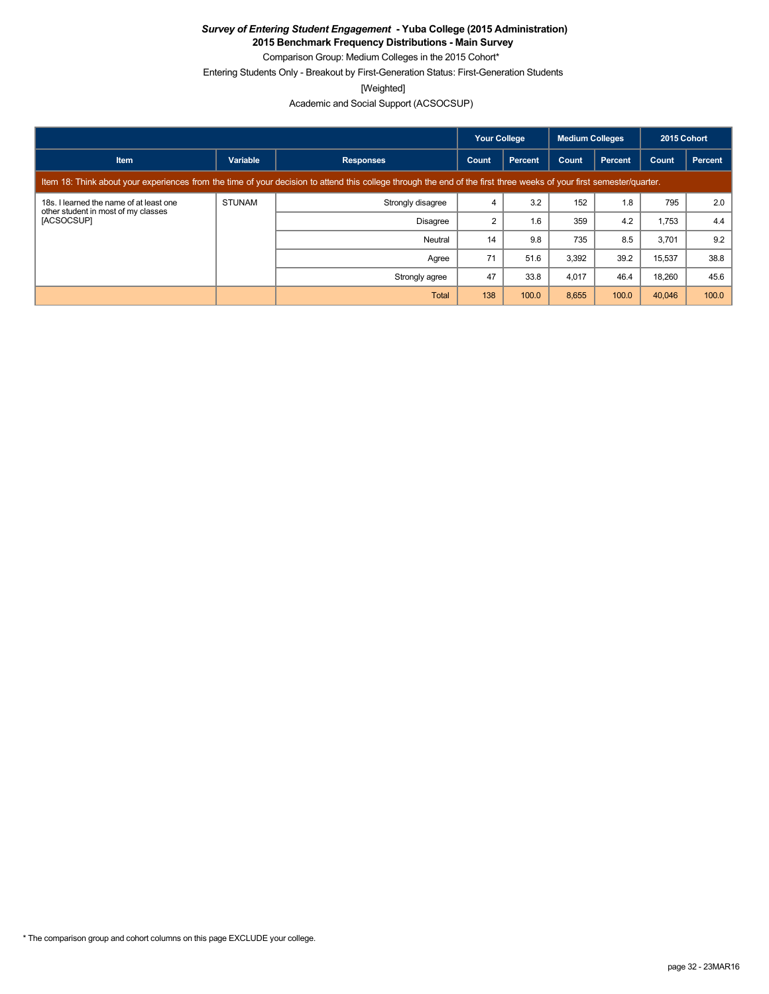**2015 Benchmark Frequency Distributions - Main Survey** Comparison Group: Medium Colleges in the 2015 Cohort\*

Entering Students Only - Breakout by First-Generation Status: First-Generation Students

[Weighted]

Academic and Social Support (ACSOCSUP)

|                                                                                                                                                                      |               |                   | Your College |         | <b>Medium Colleges</b> |                | 2015 Cohort |         |
|----------------------------------------------------------------------------------------------------------------------------------------------------------------------|---------------|-------------------|--------------|---------|------------------------|----------------|-------------|---------|
| <b>Item</b>                                                                                                                                                          | Variable      | <b>Responses</b>  | Count        | Percent | Count                  | <b>Percent</b> | Count       | Percent |
| Item 18: Think about your experiences from the time of your decision to attend this college through the end of the first three weeks of your first semester/quarter. |               |                   |              |         |                        |                |             |         |
| 18s. I learned the name of at least one<br>other student in most of my classes<br>[ACSOCSUP]                                                                         | <b>STUNAM</b> | Strongly disagree | 4            | 3.2     | 152                    | 1.8            | 795         | 2.0     |
|                                                                                                                                                                      |               | <b>Disagree</b>   | 2            | 1.6     | 359                    | 4.2            | 1,753       | 4.4     |
|                                                                                                                                                                      |               | Neutral           | 14           | 9.8     | 735                    | 8.5            | 3.701       | 9.2     |
|                                                                                                                                                                      |               | Agree             | 71           | 51.6    | 3,392                  | 39.2           | 15,537      | 38.8    |
|                                                                                                                                                                      |               | Strongly agree    | 47           | 33.8    | 4,017                  | 46.4           | 18,260      | 45.6    |
|                                                                                                                                                                      |               | Total             | 138          | 100.0   | 8,655                  | 100.0          | 40,046      | 100.0   |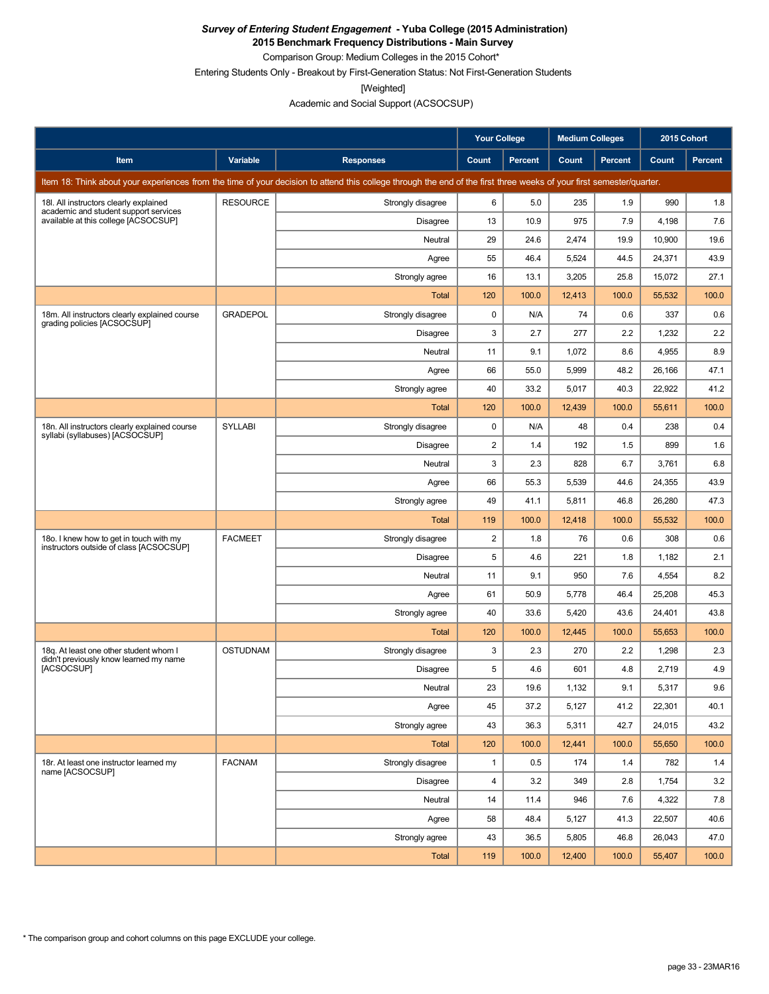**2015 Benchmark Frequency Distributions - Main Survey**

Comparison Group: Medium Colleges in the 2015 Cohort\*

Entering Students Only - Breakout by First-Generation Status: Not First-Generation Students

[Weighted]

Academic and Social Support (ACSOCSUP)

|                                                                                                                                                                      |                 |                   | <b>Your College</b> |                | <b>Medium Colleges</b> |                | 2015 Cohort |         |
|----------------------------------------------------------------------------------------------------------------------------------------------------------------------|-----------------|-------------------|---------------------|----------------|------------------------|----------------|-------------|---------|
| Item                                                                                                                                                                 | Variable        | <b>Responses</b>  | Count               | <b>Percent</b> | Count                  | <b>Percent</b> | Count       | Percent |
| Item 18: Think about your experiences from the time of your decision to attend this college through the end of the first three weeks of your first semester/quarter. |                 |                   |                     |                |                        |                |             |         |
| 18I. All instructors clearly explained                                                                                                                               | <b>RESOURCE</b> | Strongly disagree | 6                   | 5.0            | 235                    | 1.9            | 990         | 1.8     |
| academic and student support services<br>available at this college [ACSOCSUP]                                                                                        |                 | <b>Disagree</b>   | 13                  | 10.9           | 975                    | 7.9            | 4,198       | 7.6     |
|                                                                                                                                                                      |                 | Neutral           | 29                  | 24.6           | 2,474                  | 19.9           | 10,900      | 19.6    |
|                                                                                                                                                                      |                 | Agree             | 55                  | 46.4           | 5,524                  | 44.5           | 24,371      | 43.9    |
|                                                                                                                                                                      |                 | Strongly agree    | 16                  | 13.1           | 3,205                  | 25.8           | 15,072      | 27.1    |
|                                                                                                                                                                      |                 | Total             | 120                 | 100.0          | 12,413                 | 100.0          | 55,532      | 100.0   |
| 18m. All instructors clearly explained course<br>grading policies [ACSOCSUP]                                                                                         | <b>GRADEPOL</b> | Strongly disagree | 0                   | N/A            | 74                     | 0.6            | 337         | 0.6     |
|                                                                                                                                                                      |                 | <b>Disagree</b>   | 3                   | 2.7            | 277                    | 2.2            | 1,232       | 2.2     |
|                                                                                                                                                                      |                 | Neutral           | 11                  | 9.1            | 1,072                  | 8.6            | 4,955       | 8.9     |
|                                                                                                                                                                      |                 | Agree             | 66                  | 55.0           | 5,999                  | 48.2           | 26,166      | 47.1    |
|                                                                                                                                                                      |                 | Strongly agree    | 40                  | 33.2           | 5,017                  | 40.3           | 22.922      | 41.2    |
|                                                                                                                                                                      |                 | Total             | 120                 | 100.0          | 12,439                 | 100.0          | 55,611      | 100.0   |
| 18n. All instructors clearly explained course<br>syllabi (syllabuses) [ACSOCSUP]                                                                                     | <b>SYLLABI</b>  | Strongly disagree | 0                   | N/A            | 48                     | 0.4            | 238         | 0.4     |
|                                                                                                                                                                      |                 | <b>Disagree</b>   | 2                   | 1.4            | 192                    | 1.5            | 899         | 1.6     |
|                                                                                                                                                                      |                 | Neutral           | 3                   | 2.3            | 828                    | 6.7            | 3,761       | 6.8     |
|                                                                                                                                                                      |                 | Agree             | 66                  | 55.3           | 5,539                  | 44.6           | 24,355      | 43.9    |
|                                                                                                                                                                      |                 | Strongly agree    | 49                  | 41.1           | 5,811                  | 46.8           | 26,280      | 47.3    |
|                                                                                                                                                                      |                 | Total             | 119                 | 100.0          | 12,418                 | 100.0          | 55,532      | 100.0   |
| 180. I knew how to get in touch with my<br>instructors outside of class [ACSOCSUP]                                                                                   | <b>FACMEET</b>  | Strongly disagree | 2                   | 1.8            | 76                     | 0.6            | 308         | 0.6     |
|                                                                                                                                                                      |                 | <b>Disagree</b>   | 5                   | 4.6            | 221                    | 1.8            | 1,182       | 2.1     |
|                                                                                                                                                                      |                 | Neutral           | 11                  | 9.1            | 950                    | 7.6            | 4,554       | 8.2     |
|                                                                                                                                                                      |                 | Agree             | 61                  | 50.9           | 5,778                  | 46.4           | 25,208      | 45.3    |
|                                                                                                                                                                      |                 | Strongly agree    | 40                  | 33.6           | 5,420                  | 43.6           | 24,401      | 43.8    |
|                                                                                                                                                                      |                 | Total             | 120                 | 100.0          | 12,445                 | 100.0          | 55,653      | 100.0   |
| 18q. At least one other student whom I<br>didn't previously know learned my name                                                                                     | <b>OSTUDNAM</b> | Strongly disagree | 3                   | 2.3            | 270                    | 2.2            | 1,298       | 2.3     |
| [ACSOCSUP]                                                                                                                                                           |                 | Disagree          | 5                   | 4.6            | 601                    | 4.8            | 2,719       | 4.9     |
|                                                                                                                                                                      |                 | Neutral           | 23                  | 19.6           | 1,132                  | 9.1            | 5,317       | 9.6     |
|                                                                                                                                                                      |                 | Agree             | 45                  | 37.2           | 5,127                  | 41.2           | 22,301      | 40.1    |
|                                                                                                                                                                      |                 | Strongly agree    | 43                  | 36.3           | 5,311                  | 42.7           | 24,015      | 43.2    |
|                                                                                                                                                                      |                 | Total             | 120                 | 100.0          | 12,441                 | 100.0          | 55,650      | 100.0   |
| 18r. At least one instructor learned my<br>name [ACSOCSUP]                                                                                                           | <b>FACNAM</b>   | Strongly disagree | $\mathbf{1}$        | 0.5            | 174                    | 1.4            | 782         | 1.4     |
|                                                                                                                                                                      |                 | Disagree          | 4                   | 3.2            | 349                    | 2.8            | 1,754       | 3.2     |
|                                                                                                                                                                      |                 | Neutral           | 14                  | 11.4           | 946                    | 7.6            | 4,322       | 7.8     |
|                                                                                                                                                                      |                 | Agree             | 58                  | 48.4           | 5,127                  | 41.3           | 22,507      | 40.6    |
|                                                                                                                                                                      |                 | Strongly agree    | 43                  | 36.5           | 5,805                  | 46.8           | 26,043      | 47.0    |
|                                                                                                                                                                      |                 | Total             | 119                 | 100.0          | 12,400                 | 100.0          | 55,407      | 100.0   |